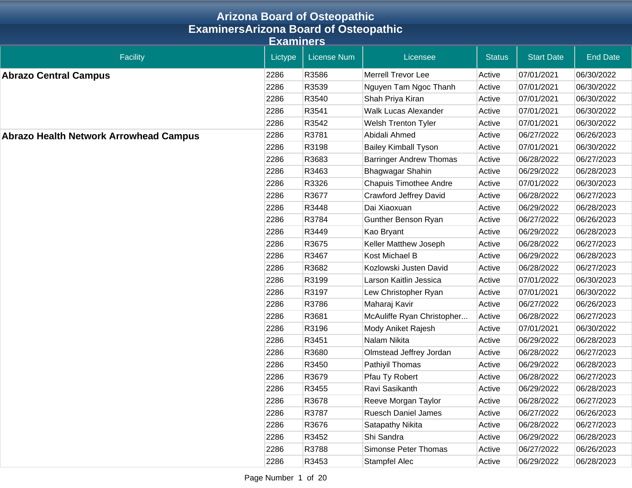|                                               | <b>Arizona Board of Osteopathic</b> |                    |                                |               |                   |                 |  |  |
|-----------------------------------------------|-------------------------------------|--------------------|--------------------------------|---------------|-------------------|-----------------|--|--|
| <b>ExaminersArizona Board of Osteopathic</b>  |                                     |                    |                                |               |                   |                 |  |  |
|                                               | <b>Examiners</b>                    |                    |                                |               |                   |                 |  |  |
| Facility                                      | Lictype                             | <b>License Num</b> | Licensee                       | <b>Status</b> | <b>Start Date</b> | <b>End Date</b> |  |  |
| <b>Abrazo Central Campus</b>                  | 2286                                | R3586              | <b>Merrell Trevor Lee</b>      | Active        | 07/01/2021        | 06/30/2022      |  |  |
|                                               | 2286                                | R3539              | Nguyen Tam Ngoc Thanh          | Active        | 07/01/2021        | 06/30/2022      |  |  |
|                                               | 2286                                | R3540              | Shah Priya Kiran               | Active        | 07/01/2021        | 06/30/2022      |  |  |
|                                               | 2286                                | R3541              | Walk Lucas Alexander           | Active        | 07/01/2021        | 06/30/2022      |  |  |
|                                               | 2286                                | R3542              | Welsh Trenton Tyler            | Active        | 07/01/2021        | 06/30/2022      |  |  |
| <b>Abrazo Health Network Arrowhead Campus</b> | 2286                                | R3781              | Abidali Ahmed                  | Active        | 06/27/2022        | 06/26/2023      |  |  |
|                                               | 2286                                | R3198              | <b>Bailey Kimball Tyson</b>    | Active        | 07/01/2021        | 06/30/2022      |  |  |
|                                               | 2286                                | R3683              | <b>Barringer Andrew Thomas</b> | Active        | 06/28/2022        | 06/27/2023      |  |  |
|                                               | 2286                                | R3463              | Bhagwagar Shahin               | Active        | 06/29/2022        | 06/28/2023      |  |  |
|                                               | 2286                                | R3326              | <b>Chapuis Timothee Andre</b>  | Active        | 07/01/2022        | 06/30/2023      |  |  |
|                                               | 2286                                | R3677              | <b>Crawford Jeffrey David</b>  | Active        | 06/28/2022        | 06/27/2023      |  |  |
|                                               | 2286                                | R3448              | Dai Xiaoxuan                   | Active        | 06/29/2022        | 06/28/2023      |  |  |
|                                               | 2286                                | R3784              | Gunther Benson Ryan            | Active        | 06/27/2022        | 06/26/2023      |  |  |
|                                               | 2286                                | R3449              | Kao Bryant                     | Active        | 06/29/2022        | 06/28/2023      |  |  |
|                                               | 2286                                | R3675              | Keller Matthew Joseph          | Active        | 06/28/2022        | 06/27/2023      |  |  |
|                                               | 2286                                | R3467              | Kost Michael B                 | Active        | 06/29/2022        | 06/28/2023      |  |  |
|                                               | 2286                                | R3682              | Kozlowski Justen David         | Active        | 06/28/2022        | 06/27/2023      |  |  |
|                                               | 2286                                | R3199              | Larson Kaitlin Jessica         | Active        | 07/01/2022        | 06/30/2023      |  |  |
|                                               | 2286                                | R3197              | Lew Christopher Ryan           | Active        | 07/01/2021        | 06/30/2022      |  |  |
|                                               | 2286                                | R3786              | Maharaj Kavir                  | Active        | 06/27/2022        | 06/26/2023      |  |  |
|                                               | 2286                                | R3681              | McAuliffe Ryan Christopher     | Active        | 06/28/2022        | 06/27/2023      |  |  |
|                                               | 2286                                | R3196              | Mody Aniket Rajesh             | Active        | 07/01/2021        | 06/30/2022      |  |  |
|                                               | 2286                                | R3451              | Nalam Nikita                   | Active        | 06/29/2022        | 06/28/2023      |  |  |
|                                               | 2286                                | R3680              | Olmstead Jeffrey Jordan        | Active        | 06/28/2022        | 06/27/2023      |  |  |
|                                               | 2286                                | R3450              | Pathiyil Thomas                | Active        | 06/29/2022        | 06/28/2023      |  |  |
|                                               | 2286                                | R3679              | Pfau Ty Robert                 | Active        | 06/28/2022        | 06/27/2023      |  |  |
|                                               | 2286                                | R3455              | Ravi Sasikanth                 | Active        | 06/29/2022        | 06/28/2023      |  |  |
|                                               | 2286                                | R3678              | Reeve Morgan Taylor            | Active        | 06/28/2022        | 06/27/2023      |  |  |
|                                               | 2286                                | R3787              | <b>Ruesch Daniel James</b>     | Active        | 06/27/2022        | 06/26/2023      |  |  |
|                                               | 2286                                | R3676              | Satapathy Nikita               | Active        | 06/28/2022        | 06/27/2023      |  |  |
|                                               | 2286                                | R3452              | Shi Sandra                     | Active        | 06/29/2022        | 06/28/2023      |  |  |
|                                               | 2286                                | R3788              | Simonse Peter Thomas           | Active        | 06/27/2022        | 06/26/2023      |  |  |
|                                               | 2286                                | R3453              | Stampfel Alec                  | Active        | 06/29/2022        | 06/28/2023      |  |  |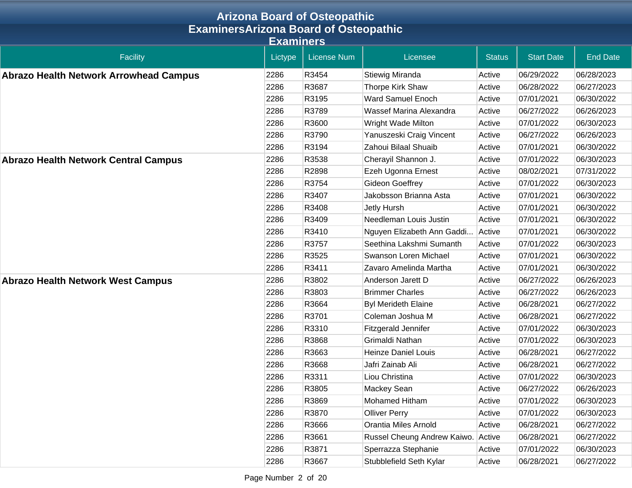|                                               |                  | <b>Arizona Board of Osteopathic</b> |                             |               |                   |                 |  |  |
|-----------------------------------------------|------------------|-------------------------------------|-----------------------------|---------------|-------------------|-----------------|--|--|
| <b>ExaminersArizona Board of Osteopathic</b>  |                  |                                     |                             |               |                   |                 |  |  |
|                                               | <b>Examiners</b> |                                     |                             |               |                   |                 |  |  |
| <b>Facility</b>                               | Lictype          | <b>License Num</b>                  | Licensee                    | <b>Status</b> | <b>Start Date</b> | <b>End Date</b> |  |  |
| <b>Abrazo Health Network Arrowhead Campus</b> | 2286             | R3454                               | Stiewig Miranda             | Active        | 06/29/2022        | 06/28/2023      |  |  |
|                                               | 2286             | R3687                               | Thorpe Kirk Shaw            | Active        | 06/28/2022        | 06/27/2023      |  |  |
|                                               | 2286             | R3195                               | <b>Ward Samuel Enoch</b>    | Active        | 07/01/2021        | 06/30/2022      |  |  |
|                                               | 2286             | R3789                               | Wassef Marina Alexandra     | Active        | 06/27/2022        | 06/26/2023      |  |  |
|                                               | 2286             | R3600                               | Wright Wade Milton          | Active        | 07/01/2022        | 06/30/2023      |  |  |
|                                               | 2286             | R3790                               | Yanuszeski Craig Vincent    | Active        | 06/27/2022        | 06/26/2023      |  |  |
|                                               | 2286             | R3194                               | Zahoui Bilaal Shuaib        | Active        | 07/01/2021        | 06/30/2022      |  |  |
| <b>Abrazo Health Network Central Campus</b>   | 2286             | R3538                               | Cherayil Shannon J.         | Active        | 07/01/2022        | 06/30/2023      |  |  |
|                                               | 2286             | R2898                               | Ezeh Ugonna Ernest          | Active        | 08/02/2021        | 07/31/2022      |  |  |
|                                               | 2286             | R3754                               | <b>Gideon Goeffrey</b>      | Active        | 07/01/2022        | 06/30/2023      |  |  |
|                                               | 2286             | R3407                               | Jakobsson Brianna Asta      | Active        | 07/01/2021        | 06/30/2022      |  |  |
|                                               | 2286             | R3408                               | Jetly Hursh                 | Active        | 07/01/2021        | 06/30/2022      |  |  |
|                                               | 2286             | R3409                               | Needleman Louis Justin      | Active        | 07/01/2021        | 06/30/2022      |  |  |
|                                               | 2286             | R3410                               | Nguyen Elizabeth Ann Gaddi  | Active        | 07/01/2021        | 06/30/2022      |  |  |
|                                               | 2286             | R3757                               | Seethina Lakshmi Sumanth    | Active        | 07/01/2022        | 06/30/2023      |  |  |
|                                               | 2286             | R3525                               | Swanson Loren Michael       | Active        | 07/01/2021        | 06/30/2022      |  |  |
|                                               | 2286             | R3411                               | Zavaro Amelinda Martha      | Active        | 07/01/2021        | 06/30/2022      |  |  |
| <b>Abrazo Health Network West Campus</b>      | 2286             | R3802                               | Anderson Jarett D           | Active        | 06/27/2022        | 06/26/2023      |  |  |
|                                               | 2286             | R3803                               | <b>Brimmer Charles</b>      | Active        | 06/27/2022        | 06/26/2023      |  |  |
|                                               | 2286             | R3664                               | <b>Byl Merideth Elaine</b>  | Active        | 06/28/2021        | 06/27/2022      |  |  |
|                                               | 2286             | R3701                               | Coleman Joshua M            | Active        | 06/28/2021        | 06/27/2022      |  |  |
|                                               | 2286             | R3310                               | Fitzgerald Jennifer         | Active        | 07/01/2022        | 06/30/2023      |  |  |
|                                               | 2286             | R3868                               | Grimaldi Nathan             | Active        | 07/01/2022        | 06/30/2023      |  |  |
|                                               | 2286             | R3663                               | <b>Heinze Daniel Louis</b>  | Active        | 06/28/2021        | 06/27/2022      |  |  |
|                                               | 2286             | R3668                               | Jafri Zainab Ali            | Active        | 06/28/2021        | 06/27/2022      |  |  |
|                                               | 2286             | R3311                               | Liou Christina              | Active        | 07/01/2022        | 06/30/2023      |  |  |
|                                               | 2286             | R3805                               | Mackey Sean                 | Active        | 06/27/2022        | 06/26/2023      |  |  |
|                                               | 2286             | R3869                               | Mohamed Hitham              | Active        | 07/01/2022        | 06/30/2023      |  |  |
|                                               | 2286             | R3870                               | <b>Olliver Perry</b>        | Active        | 07/01/2022        | 06/30/2023      |  |  |
|                                               | 2286             | R3666                               | Orantia Miles Arnold        | Active        | 06/28/2021        | 06/27/2022      |  |  |
|                                               | 2286             | R3661                               | Russel Cheung Andrew Kaiwo. | Active        | 06/28/2021        | 06/27/2022      |  |  |
|                                               | 2286             | R3871                               | Sperrazza Stephanie         | Active        | 07/01/2022        | 06/30/2023      |  |  |
|                                               | 2286             | R3667                               | Stubblefield Seth Kylar     | Active        | 06/28/2021        | 06/27/2022      |  |  |

Page Number 2 of 20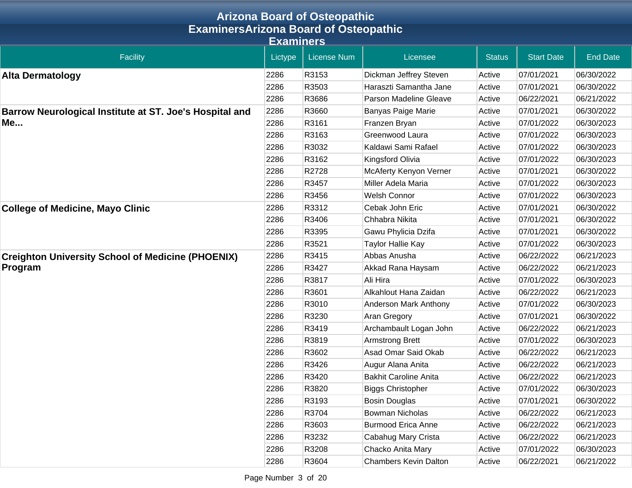| <b>Arizona Board of Osteopathic</b><br><b>ExaminersArizona Board of Osteopathic</b> |         |                    |                              |               |                   |                 |  |  |           |
|-------------------------------------------------------------------------------------|---------|--------------------|------------------------------|---------------|-------------------|-----------------|--|--|-----------|
|                                                                                     |         |                    |                              |               |                   |                 |  |  | Examiners |
| <b>Facility</b>                                                                     | Lictype | <b>License Num</b> | Licensee                     | <b>Status</b> | <b>Start Date</b> | <b>End Date</b> |  |  |           |
| <b>Alta Dermatology</b>                                                             | 2286    | R3153              | Dickman Jeffrey Steven       | Active        | 07/01/2021        | 06/30/2022      |  |  |           |
|                                                                                     | 2286    | R3503              | Haraszti Samantha Jane       | Active        | 07/01/2021        | 06/30/2022      |  |  |           |
|                                                                                     | 2286    | R3686              | Parson Madeline Gleave       | Active        | 06/22/2021        | 06/21/2022      |  |  |           |
| Barrow Neurological Institute at ST. Joe's Hospital and                             | 2286    | R3660              | <b>Banyas Paige Marie</b>    | Active        | 07/01/2021        | 06/30/2022      |  |  |           |
| Me                                                                                  | 2286    | R3161              | Franzen Bryan                | Active        | 07/01/2022        | 06/30/2023      |  |  |           |
|                                                                                     | 2286    | R3163              | Greenwood Laura              | Active        | 07/01/2022        | 06/30/2023      |  |  |           |
|                                                                                     | 2286    | R3032              | Kaldawi Sami Rafael          | Active        | 07/01/2022        | 06/30/2023      |  |  |           |
|                                                                                     | 2286    | R3162              | Kingsford Olivia             | Active        | 07/01/2022        | 06/30/2023      |  |  |           |
|                                                                                     | 2286    | R2728              | McAferty Kenyon Verner       | Active        | 07/01/2021        | 06/30/2022      |  |  |           |
|                                                                                     | 2286    | R3457              | Miller Adela Maria           | Active        | 07/01/2022        | 06/30/2023      |  |  |           |
|                                                                                     | 2286    | R3456              | <b>Welsh Connor</b>          | Active        | 07/01/2022        | 06/30/2023      |  |  |           |
| <b>College of Medicine, Mayo Clinic</b>                                             | 2286    | R3312              | Cebak John Eric              | Active        | 07/01/2021        | 06/30/2022      |  |  |           |
|                                                                                     | 2286    | R3406              | Chhabra Nikita               | Active        | 07/01/2021        | 06/30/2022      |  |  |           |
|                                                                                     | 2286    | R3395              | Gawu Phylicia Dzifa          | Active        | 07/01/2021        | 06/30/2022      |  |  |           |
|                                                                                     | 2286    | R3521              | Taylor Hallie Kay            | Active        | 07/01/2022        | 06/30/2023      |  |  |           |
| <b>Creighton University School of Medicine (PHOENIX)</b>                            | 2286    | R3415              | Abbas Anusha                 | Active        | 06/22/2022        | 06/21/2023      |  |  |           |
| Program                                                                             | 2286    | R3427              | Akkad Rana Haysam            | Active        | 06/22/2022        | 06/21/2023      |  |  |           |
|                                                                                     | 2286    | R3817              | Ali Hira                     | Active        | 07/01/2022        | 06/30/2023      |  |  |           |
|                                                                                     | 2286    | R3601              | Alkahlout Hana Zaidan        | Active        | 06/22/2022        | 06/21/2023      |  |  |           |
|                                                                                     | 2286    | R3010              | Anderson Mark Anthony        | Active        | 07/01/2022        | 06/30/2023      |  |  |           |
|                                                                                     | 2286    | R3230              | Aran Gregory                 | Active        | 07/01/2021        | 06/30/2022      |  |  |           |
|                                                                                     | 2286    | R3419              | Archambault Logan John       | Active        | 06/22/2022        | 06/21/2023      |  |  |           |
|                                                                                     | 2286    | R3819              | <b>Armstrong Brett</b>       | Active        | 07/01/2022        | 06/30/2023      |  |  |           |
|                                                                                     | 2286    | R3602              | Asad Omar Said Okab          | Active        | 06/22/2022        | 06/21/2023      |  |  |           |
|                                                                                     | 2286    | R3426              | Augur Alana Anita            | Active        | 06/22/2022        | 06/21/2023      |  |  |           |
|                                                                                     | 2286    | R3420              | <b>Bakhit Caroline Anita</b> | Active        | 06/22/2022        | 06/21/2023      |  |  |           |
|                                                                                     | 2286    | R3820              | <b>Biggs Christopher</b>     | Active        | 07/01/2022        | 06/30/2023      |  |  |           |
|                                                                                     | 2286    | R3193              | <b>Bosin Douglas</b>         | Active        | 07/01/2021        | 06/30/2022      |  |  |           |
|                                                                                     | 2286    | R3704              | <b>Bowman Nicholas</b>       | Active        | 06/22/2022        | 06/21/2023      |  |  |           |
|                                                                                     | 2286    | R3603              | <b>Burmood Erica Anne</b>    | Active        | 06/22/2022        | 06/21/2023      |  |  |           |
|                                                                                     | 2286    | R3232              | Cabahug Mary Crista          | Active        | 06/22/2022        | 06/21/2023      |  |  |           |
|                                                                                     | 2286    | R3208              | Chacko Anita Mary            | Active        | 07/01/2022        | 06/30/2023      |  |  |           |
|                                                                                     | 2286    | R3604              | <b>Chambers Kevin Dalton</b> | Active        | 06/22/2021        | 06/21/2022      |  |  |           |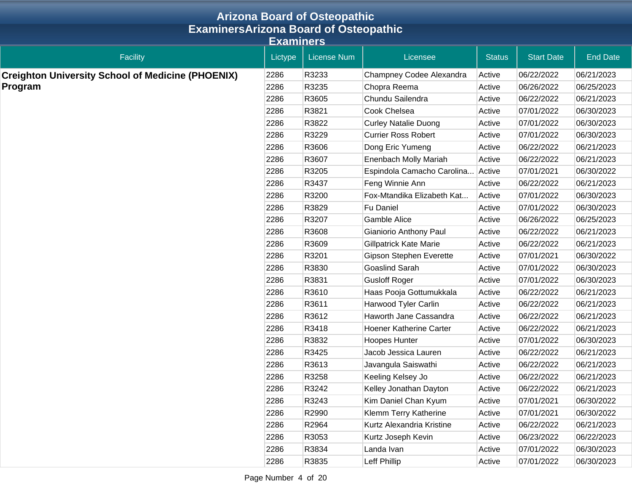|                                                          |         | <b>Arizona Board of Osteopathic</b> |                                |               |                   |                 |  |  |  |
|----------------------------------------------------------|---------|-------------------------------------|--------------------------------|---------------|-------------------|-----------------|--|--|--|
| <b>ExaminersArizona Board of Osteopathic</b>             |         |                                     |                                |               |                   |                 |  |  |  |
| <b>Examiners</b>                                         |         |                                     |                                |               |                   |                 |  |  |  |
| <b>Facility</b>                                          | Lictype | <b>License Num</b>                  | Licensee                       | <b>Status</b> | <b>Start Date</b> | <b>End Date</b> |  |  |  |
| <b>Creighton University School of Medicine (PHOENIX)</b> | 2286    | R3233                               | Champney Codee Alexandra       | Active        | 06/22/2022        | 06/21/2023      |  |  |  |
| Program                                                  | 2286    | R3235                               | Chopra Reema                   | Active        | 06/26/2022        | 06/25/2023      |  |  |  |
|                                                          | 2286    | R3605                               | Chundu Sailendra               | Active        | 06/22/2022        | 06/21/2023      |  |  |  |
|                                                          | 2286    | R3821                               | Cook Chelsea                   | Active        | 07/01/2022        | 06/30/2023      |  |  |  |
|                                                          | 2286    | R3822                               | <b>Curley Natalie Duong</b>    | Active        | 07/01/2022        | 06/30/2023      |  |  |  |
|                                                          | 2286    | R3229                               | <b>Currier Ross Robert</b>     | Active        | 07/01/2022        | 06/30/2023      |  |  |  |
|                                                          | 2286    | R3606                               | Dong Eric Yumeng               | Active        | 06/22/2022        | 06/21/2023      |  |  |  |
|                                                          | 2286    | R3607                               | Enenbach Molly Mariah          | Active        | 06/22/2022        | 06/21/2023      |  |  |  |
|                                                          | 2286    | R3205                               | Espindola Camacho Carolina     | Active        | 07/01/2021        | 06/30/2022      |  |  |  |
|                                                          | 2286    | R3437                               | Feng Winnie Ann                | Active        | 06/22/2022        | 06/21/2023      |  |  |  |
|                                                          | 2286    | R3200                               | Fox-Mtandika Elizabeth Kat     | Active        | 07/01/2022        | 06/30/2023      |  |  |  |
|                                                          | 2286    | R3829                               | <b>Fu Daniel</b>               | Active        | 07/01/2022        | 06/30/2023      |  |  |  |
|                                                          | 2286    | R3207                               | <b>Gamble Alice</b>            | Active        | 06/26/2022        | 06/25/2023      |  |  |  |
|                                                          | 2286    | R3608                               | Gianiorio Anthony Paul         | Active        | 06/22/2022        | 06/21/2023      |  |  |  |
|                                                          | 2286    | R3609                               | <b>Gillpatrick Kate Marie</b>  | Active        | 06/22/2022        | 06/21/2023      |  |  |  |
|                                                          | 2286    | R3201                               | Gipson Stephen Everette        | Active        | 07/01/2021        | 06/30/2022      |  |  |  |
|                                                          | 2286    | R3830                               | <b>Goaslind Sarah</b>          | Active        | 07/01/2022        | 06/30/2023      |  |  |  |
|                                                          | 2286    | R3831                               | <b>Gusloff Roger</b>           | Active        | 07/01/2022        | 06/30/2023      |  |  |  |
|                                                          | 2286    | R3610                               | Haas Pooja Gottumukkala        | Active        | 06/22/2022        | 06/21/2023      |  |  |  |
|                                                          | 2286    | R3611                               | Harwood Tyler Carlin           | Active        | 06/22/2022        | 06/21/2023      |  |  |  |
|                                                          | 2286    | R3612                               | Haworth Jane Cassandra         | Active        | 06/22/2022        | 06/21/2023      |  |  |  |
|                                                          | 2286    | R3418                               | <b>Hoener Katherine Carter</b> | Active        | 06/22/2022        | 06/21/2023      |  |  |  |
|                                                          | 2286    | R3832                               | Hoopes Hunter                  | Active        | 07/01/2022        | 06/30/2023      |  |  |  |
|                                                          | 2286    | R3425                               | Jacob Jessica Lauren           | Active        | 06/22/2022        | 06/21/2023      |  |  |  |
|                                                          | 2286    | R3613                               | Javangula Saiswathi            | Active        | 06/22/2022        | 06/21/2023      |  |  |  |
|                                                          | 2286    | R3258                               | Keeling Kelsey Jo              | Active        | 06/22/2022        | 06/21/2023      |  |  |  |
|                                                          | 2286    | R3242                               | Kelley Jonathan Dayton         | Active        | 06/22/2022        | 06/21/2023      |  |  |  |
|                                                          | 2286    | R3243                               | Kim Daniel Chan Kyum           | Active        | 07/01/2021        | 06/30/2022      |  |  |  |
|                                                          | 2286    | R2990                               | Klemm Terry Katherine          | Active        | 07/01/2021        | 06/30/2022      |  |  |  |
|                                                          | 2286    | R2964                               | Kurtz Alexandria Kristine      | Active        | 06/22/2022        | 06/21/2023      |  |  |  |
|                                                          | 2286    | R3053                               | Kurtz Joseph Kevin             | Active        | 06/23/2022        | 06/22/2023      |  |  |  |
|                                                          | 2286    | R3834                               | Landa Ivan                     | Active        | 07/01/2022        | 06/30/2023      |  |  |  |
|                                                          | 2286    | R3835                               | Leff Phillip                   | Active        | 07/01/2022        | 06/30/2023      |  |  |  |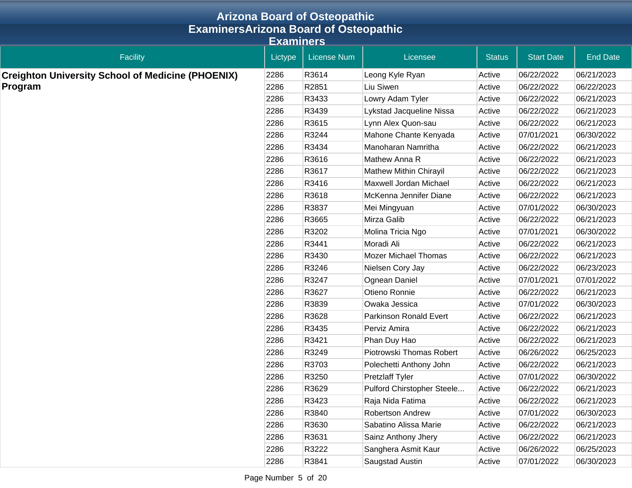|                                                          |         | <b>Arizona Board of Osteopathic</b> |                               |               |                   |                 |  |  |  |
|----------------------------------------------------------|---------|-------------------------------------|-------------------------------|---------------|-------------------|-----------------|--|--|--|
| <b>ExaminersArizona Board of Osteopathic</b>             |         |                                     |                               |               |                   |                 |  |  |  |
| <b>Examiners</b>                                         |         |                                     |                               |               |                   |                 |  |  |  |
| <b>Facility</b>                                          | Lictype | <b>License Num</b>                  | Licensee                      | <b>Status</b> | <b>Start Date</b> | <b>End Date</b> |  |  |  |
| <b>Creighton University School of Medicine (PHOENIX)</b> | 2286    | R3614                               | Leong Kyle Ryan               | Active        | 06/22/2022        | 06/21/2023      |  |  |  |
| Program                                                  | 2286    | R2851                               | Liu Siwen                     | Active        | 06/22/2022        | 06/22/2023      |  |  |  |
|                                                          | 2286    | R3433                               | Lowry Adam Tyler              | Active        | 06/22/2022        | 06/21/2023      |  |  |  |
|                                                          | 2286    | R3439                               | Lykstad Jacqueline Nissa      | Active        | 06/22/2022        | 06/21/2023      |  |  |  |
|                                                          | 2286    | R3615                               | Lynn Alex Quon-sau            | Active        | 06/22/2022        | 06/21/2023      |  |  |  |
|                                                          | 2286    | R3244                               | Mahone Chante Kenyada         | Active        | 07/01/2021        | 06/30/2022      |  |  |  |
|                                                          | 2286    | R3434                               | Manoharan Namritha            | Active        | 06/22/2022        | 06/21/2023      |  |  |  |
|                                                          | 2286    | R3616                               | Mathew Anna R                 | Active        | 06/22/2022        | 06/21/2023      |  |  |  |
|                                                          | 2286    | R3617                               | <b>Mathew Mithin Chirayil</b> | Active        | 06/22/2022        | 06/21/2023      |  |  |  |
|                                                          | 2286    | R3416                               | Maxwell Jordan Michael        | Active        | 06/22/2022        | 06/21/2023      |  |  |  |
|                                                          | 2286    | R3618                               | McKenna Jennifer Diane        | Active        | 06/22/2022        | 06/21/2023      |  |  |  |
|                                                          | 2286    | R3837                               | Mei Mingyuan                  | Active        | 07/01/2022        | 06/30/2023      |  |  |  |
|                                                          | 2286    | R3665                               | Mirza Galib                   | Active        | 06/22/2022        | 06/21/2023      |  |  |  |
|                                                          | 2286    | R3202                               | Molina Tricia Ngo             | Active        | 07/01/2021        | 06/30/2022      |  |  |  |
|                                                          | 2286    | R3441                               | Moradi Ali                    | Active        | 06/22/2022        | 06/21/2023      |  |  |  |
|                                                          | 2286    | R3430                               | <b>Mozer Michael Thomas</b>   | Active        | 06/22/2022        | 06/21/2023      |  |  |  |
|                                                          | 2286    | R3246                               | Nielsen Cory Jay              | Active        | 06/22/2022        | 06/23/2023      |  |  |  |
|                                                          | 2286    | R3247                               | Ognean Daniel                 | Active        | 07/01/2021        | 07/01/2022      |  |  |  |
|                                                          | 2286    | R3627                               | Otieno Ronnie                 | Active        | 06/22/2022        | 06/21/2023      |  |  |  |
|                                                          | 2286    | R3839                               | Owaka Jessica                 | Active        | 07/01/2022        | 06/30/2023      |  |  |  |
|                                                          | 2286    | R3628                               | Parkinson Ronald Evert        | Active        | 06/22/2022        | 06/21/2023      |  |  |  |
|                                                          | 2286    | R3435                               | Perviz Amira                  | Active        | 06/22/2022        | 06/21/2023      |  |  |  |
|                                                          | 2286    | R3421                               | Phan Duy Hao                  | Active        | 06/22/2022        | 06/21/2023      |  |  |  |
|                                                          | 2286    | R3249                               | Piotrowski Thomas Robert      | Active        | 06/26/2022        | 06/25/2023      |  |  |  |
|                                                          | 2286    | R3703                               | Polechetti Anthony John       | Active        | 06/22/2022        | 06/21/2023      |  |  |  |
|                                                          | 2286    | R3250                               | <b>Pretzlaff Tyler</b>        | Active        | 07/01/2022        | 06/30/2022      |  |  |  |
|                                                          | 2286    | R3629                               | Pulford Chirstopher Steele    | Active        | 06/22/2022        | 06/21/2023      |  |  |  |
|                                                          | 2286    | R3423                               | Raja Nida Fatima              | Active        | 06/22/2022        | 06/21/2023      |  |  |  |
|                                                          | 2286    | R3840                               | Robertson Andrew              | Active        | 07/01/2022        | 06/30/2023      |  |  |  |
|                                                          | 2286    | R3630                               | Sabatino Alissa Marie         | Active        | 06/22/2022        | 06/21/2023      |  |  |  |
|                                                          | 2286    | R3631                               | Sainz Anthony Jhery           | Active        | 06/22/2022        | 06/21/2023      |  |  |  |
|                                                          | 2286    | R3222                               | Sanghera Asmit Kaur           | Active        | 06/26/2022        | 06/25/2023      |  |  |  |
|                                                          | 2286    | R3841                               | Saugstad Austin               | Active        | 07/01/2022        | 06/30/2023      |  |  |  |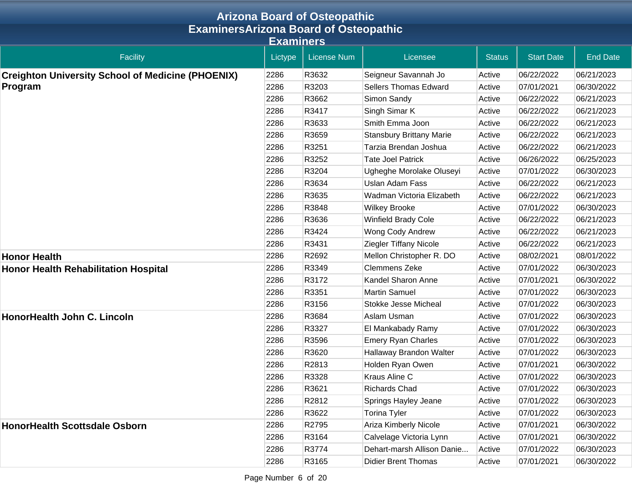|                                                          |         | <b>Arizona Board of Osteopathic</b> |                                 |               |                   |                 |  |  |  |
|----------------------------------------------------------|---------|-------------------------------------|---------------------------------|---------------|-------------------|-----------------|--|--|--|
| <b>ExaminersArizona Board of Osteopathic</b>             |         |                                     |                                 |               |                   |                 |  |  |  |
| <b>Examiners</b>                                         |         |                                     |                                 |               |                   |                 |  |  |  |
| Facility                                                 | Lictype | <b>License Num</b>                  | Licensee                        | <b>Status</b> | <b>Start Date</b> | <b>End Date</b> |  |  |  |
| <b>Creighton University School of Medicine (PHOENIX)</b> | 2286    | R3632                               | Seigneur Savannah Jo            | Active        | 06/22/2022        | 06/21/2023      |  |  |  |
| Program                                                  | 2286    | R3203                               | <b>Sellers Thomas Edward</b>    | Active        | 07/01/2021        | 06/30/2022      |  |  |  |
|                                                          | 2286    | R3662                               | Simon Sandy                     | Active        | 06/22/2022        | 06/21/2023      |  |  |  |
|                                                          | 2286    | R3417                               | Singh Simar K                   | Active        | 06/22/2022        | 06/21/2023      |  |  |  |
|                                                          | 2286    | R3633                               | Smith Emma Joon                 | Active        | 06/22/2022        | 06/21/2023      |  |  |  |
|                                                          | 2286    | R3659                               | <b>Stansbury Brittany Marie</b> | Active        | 06/22/2022        | 06/21/2023      |  |  |  |
|                                                          | 2286    | R3251                               | Tarzia Brendan Joshua           | Active        | 06/22/2022        | 06/21/2023      |  |  |  |
|                                                          | 2286    | R3252                               | <b>Tate Joel Patrick</b>        | Active        | 06/26/2022        | 06/25/2023      |  |  |  |
|                                                          | 2286    | R3204                               | Ugheghe Morolake Oluseyi        | Active        | 07/01/2022        | 06/30/2023      |  |  |  |
|                                                          | 2286    | R3634                               | <b>Uslan Adam Fass</b>          | Active        | 06/22/2022        | 06/21/2023      |  |  |  |
|                                                          | 2286    | R3635                               | Wadman Victoria Elizabeth       | Active        | 06/22/2022        | 06/21/2023      |  |  |  |
|                                                          | 2286    | R3848                               | <b>Wilkey Brooke</b>            | Active        | 07/01/2022        | 06/30/2023      |  |  |  |
|                                                          | 2286    | R3636                               | <b>Winfield Brady Cole</b>      | Active        | 06/22/2022        | 06/21/2023      |  |  |  |
|                                                          | 2286    | R3424                               | Wong Cody Andrew                | Active        | 06/22/2022        | 06/21/2023      |  |  |  |
|                                                          | 2286    | R3431                               | Ziegler Tiffany Nicole          | Active        | 06/22/2022        | 06/21/2023      |  |  |  |
| <b>Honor Health</b>                                      | 2286    | R2692                               | Mellon Christopher R. DO        | Active        | 08/02/2021        | 08/01/2022      |  |  |  |
| <b>Honor Health Rehabilitation Hospital</b>              | 2286    | R3349                               | <b>Clemmens Zeke</b>            | Active        | 07/01/2022        | 06/30/2023      |  |  |  |
|                                                          | 2286    | R3172                               | Kandel Sharon Anne              | Active        | 07/01/2021        | 06/30/2022      |  |  |  |
|                                                          | 2286    | R3351                               | <b>Martin Samuel</b>            | Active        | 07/01/2022        | 06/30/2023      |  |  |  |
|                                                          | 2286    | R3156                               | <b>Stokke Jesse Micheal</b>     | Active        | 07/01/2022        | 06/30/2023      |  |  |  |
| HonorHealth John C. Lincoln                              | 2286    | R3684                               | Aslam Usman                     | Active        | 07/01/2022        | 06/30/2023      |  |  |  |
|                                                          | 2286    | R3327                               | El Mankabady Ramy               | Active        | 07/01/2022        | 06/30/2023      |  |  |  |
|                                                          | 2286    | R3596                               | <b>Emery Ryan Charles</b>       | Active        | 07/01/2022        | 06/30/2023      |  |  |  |
|                                                          | 2286    | R3620                               | Hallaway Brandon Walter         | Active        | 07/01/2022        | 06/30/2023      |  |  |  |
|                                                          | 2286    | R2813                               | Holden Ryan Owen                | Active        | 07/01/2021        | 06/30/2022      |  |  |  |
|                                                          | 2286    | R3328                               | Kraus Aline C                   | Active        | 07/01/2022        | 06/30/2023      |  |  |  |
|                                                          | 2286    | R3621                               | <b>Richards Chad</b>            | Active        | 07/01/2022        | 06/30/2023      |  |  |  |
|                                                          | 2286    | R2812                               | Springs Hayley Jeane            | Active        | 07/01/2022        | 06/30/2023      |  |  |  |
|                                                          | 2286    | R3622                               | Torina Tyler                    | Active        | 07/01/2022        | 06/30/2023      |  |  |  |
| <b>HonorHealth Scottsdale Osborn</b>                     | 2286    | R2795                               | Ariza Kimberly Nicole           | Active        | 07/01/2021        | 06/30/2022      |  |  |  |
|                                                          | 2286    | R3164                               | Calvelage Victoria Lynn         | Active        | 07/01/2021        | 06/30/2022      |  |  |  |
|                                                          | 2286    | R3774                               | Dehart-marsh Allison Danie      | Active        | 07/01/2022        | 06/30/2023      |  |  |  |
|                                                          | 2286    | R3165                               | <b>Didier Brent Thomas</b>      | Active        | 07/01/2021        | 06/30/2022      |  |  |  |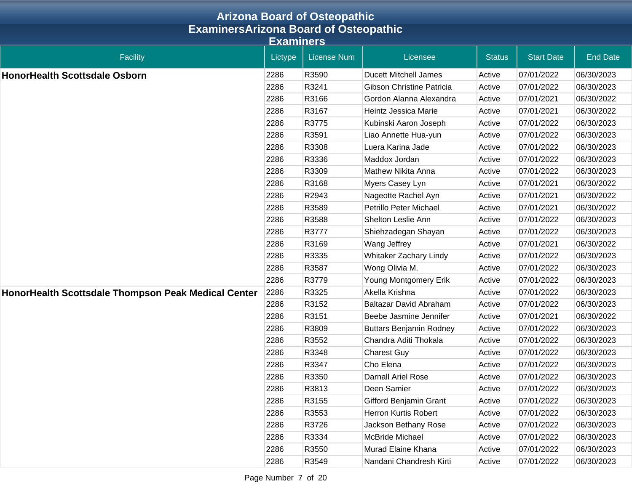| <b>Arizona Board of Osteopathic</b><br><b>ExaminersArizona Board of Osteopathic</b> |         |                    |                                  |               |                   |                 |  |  |                  |
|-------------------------------------------------------------------------------------|---------|--------------------|----------------------------------|---------------|-------------------|-----------------|--|--|------------------|
|                                                                                     |         |                    |                                  |               |                   |                 |  |  | <b>Examiners</b> |
| <b>Facility</b>                                                                     | Lictype | <b>License Num</b> | Licensee                         | <b>Status</b> | <b>Start Date</b> | <b>End Date</b> |  |  |                  |
| <b>HonorHealth Scottsdale Osborn</b>                                                | 2286    | R3590              | <b>Ducett Mitchell James</b>     | Active        | 07/01/2022        | 06/30/2023      |  |  |                  |
|                                                                                     | 2286    | R3241              | <b>Gibson Christine Patricia</b> | Active        | 07/01/2022        | 06/30/2023      |  |  |                  |
|                                                                                     | 2286    | R3166              | Gordon Alanna Alexandra          | Active        | 07/01/2021        | 06/30/2022      |  |  |                  |
|                                                                                     | 2286    | R3167              | Heintz Jessica Marie             | Active        | 07/01/2021        | 06/30/2022      |  |  |                  |
|                                                                                     | 2286    | R3775              | Kubinski Aaron Joseph            | Active        | 07/01/2022        | 06/30/2023      |  |  |                  |
|                                                                                     | 2286    | R3591              | Liao Annette Hua-yun             | Active        | 07/01/2022        | 06/30/2023      |  |  |                  |
|                                                                                     | 2286    | R3308              | Luera Karina Jade                | Active        | 07/01/2022        | 06/30/2023      |  |  |                  |
|                                                                                     | 2286    | R3336              | Maddox Jordan                    | Active        | 07/01/2022        | 06/30/2023      |  |  |                  |
|                                                                                     | 2286    | R3309              | Mathew Nikita Anna               | Active        | 07/01/2022        | 06/30/2023      |  |  |                  |
|                                                                                     | 2286    | R3168              | Myers Casey Lyn                  | Active        | 07/01/2021        | 06/30/2022      |  |  |                  |
|                                                                                     | 2286    | R2943              | Nageotte Rachel Ayn              | Active        | 07/01/2021        | 06/30/2022      |  |  |                  |
|                                                                                     | 2286    | R3589              | Petrillo Peter Michael           | Active        | 07/01/2021        | 06/30/2022      |  |  |                  |
|                                                                                     | 2286    | R3588              | Shelton Leslie Ann               | Active        | 07/01/2022        | 06/30/2023      |  |  |                  |
|                                                                                     | 2286    | R3777              | Shiehzadegan Shayan              | Active        | 07/01/2022        | 06/30/2023      |  |  |                  |
|                                                                                     | 2286    | R3169              | Wang Jeffrey                     | Active        | 07/01/2021        | 06/30/2022      |  |  |                  |
|                                                                                     | 2286    | R3335              | Whitaker Zachary Lindy           | Active        | 07/01/2022        | 06/30/2023      |  |  |                  |
|                                                                                     | 2286    | R3587              | Wong Olivia M.                   | Active        | 07/01/2022        | 06/30/2023      |  |  |                  |
|                                                                                     | 2286    | R3779              | Young Montgomery Erik            | Active        | 07/01/2022        | 06/30/2023      |  |  |                  |
| HonorHealth Scottsdale Thompson Peak Medical Center                                 | 2286    | R3325              | Akella Krishna                   | Active        | 07/01/2022        | 06/30/2023      |  |  |                  |
|                                                                                     | 2286    | R3152              | Baltazar David Abraham           | Active        | 07/01/2022        | 06/30/2023      |  |  |                  |
|                                                                                     | 2286    | R3151              | Beebe Jasmine Jennifer           | Active        | 07/01/2021        | 06/30/2022      |  |  |                  |
|                                                                                     | 2286    | R3809              | <b>Buttars Benjamin Rodney</b>   | Active        | 07/01/2022        | 06/30/2023      |  |  |                  |
|                                                                                     | 2286    | R3552              | Chandra Aditi Thokala            | Active        | 07/01/2022        | 06/30/2023      |  |  |                  |
|                                                                                     | 2286    | R3348              | <b>Charest Guy</b>               | Active        | 07/01/2022        | 06/30/2023      |  |  |                  |
|                                                                                     | 2286    | R3347              | Cho Elena                        | Active        | 07/01/2022        | 06/30/2023      |  |  |                  |
|                                                                                     | 2286    | R3350              | <b>Darnall Ariel Rose</b>        | Active        | 07/01/2022        | 06/30/2023      |  |  |                  |
|                                                                                     | 2286    | R3813              | Deen Samier                      | Active        | 07/01/2022        | 06/30/2023      |  |  |                  |
|                                                                                     | 2286    | R3155              | Gifford Benjamin Grant           | Active        | 07/01/2022        | 06/30/2023      |  |  |                  |
|                                                                                     | 2286    | R3553              | Herron Kurtis Robert             | Active        | 07/01/2022        | 06/30/2023      |  |  |                  |
|                                                                                     | 2286    | R3726              | Jackson Bethany Rose             | Active        | 07/01/2022        | 06/30/2023      |  |  |                  |
|                                                                                     | 2286    | R3334              | McBride Michael                  | Active        | 07/01/2022        | 06/30/2023      |  |  |                  |
|                                                                                     | 2286    | R3550              | Murad Elaine Khana               | Active        | 07/01/2022        | 06/30/2023      |  |  |                  |
|                                                                                     | 2286    | R3549              | Nandani Chandresh Kirti          | Active        | 07/01/2022        | 06/30/2023      |  |  |                  |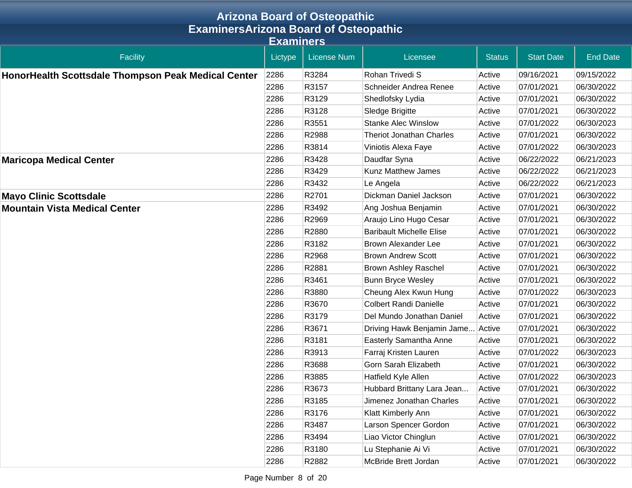|                                                     |         | <b>Arizona Board of Osteopathic</b> |                                 |               |                   |                 |  |  |  |
|-----------------------------------------------------|---------|-------------------------------------|---------------------------------|---------------|-------------------|-----------------|--|--|--|
| <b>ExaminersArizona Board of Osteopathic</b>        |         |                                     |                                 |               |                   |                 |  |  |  |
| <b>Examiners</b>                                    |         |                                     |                                 |               |                   |                 |  |  |  |
| <b>Facility</b>                                     | Lictype | <b>License Num</b>                  | Licensee                        | <b>Status</b> | <b>Start Date</b> | <b>End Date</b> |  |  |  |
| HonorHealth Scottsdale Thompson Peak Medical Center | 2286    | R3284                               | Rohan Trivedi S                 | Active        | 09/16/2021        | 09/15/2022      |  |  |  |
|                                                     | 2286    | R3157                               | Schneider Andrea Renee          | Active        | 07/01/2021        | 06/30/2022      |  |  |  |
|                                                     | 2286    | R3129                               | Shedlofsky Lydia                | Active        | 07/01/2021        | 06/30/2022      |  |  |  |
|                                                     | 2286    | R3128                               | Sledge Brigitte                 | Active        | 07/01/2021        | 06/30/2022      |  |  |  |
|                                                     | 2286    | R3551                               | <b>Stanke Alec Winslow</b>      | Active        | 07/01/2022        | 06/30/2023      |  |  |  |
|                                                     | 2286    | R2988                               | <b>Theriot Jonathan Charles</b> | Active        | 07/01/2021        | 06/30/2022      |  |  |  |
|                                                     | 2286    | R3814                               | Viniotis Alexa Faye             | Active        | 07/01/2022        | 06/30/2023      |  |  |  |
| <b>Maricopa Medical Center</b>                      | 2286    | R3428                               | Daudfar Syna                    | Active        | 06/22/2022        | 06/21/2023      |  |  |  |
|                                                     | 2286    | R3429                               | Kunz Matthew James              | Active        | 06/22/2022        | 06/21/2023      |  |  |  |
|                                                     | 2286    | R3432                               | Le Angela                       | Active        | 06/22/2022        | 06/21/2023      |  |  |  |
| <b>Mayo Clinic Scottsdale</b>                       | 2286    | R2701                               | Dickman Daniel Jackson          | Active        | 07/01/2021        | 06/30/2022      |  |  |  |
| <b>Mountain Vista Medical Center</b>                | 2286    | R3492                               | Ang Joshua Benjamin             | Active        | 07/01/2021        | 06/30/2022      |  |  |  |
|                                                     | 2286    | R2969                               | Araujo Lino Hugo Cesar          | Active        | 07/01/2021        | 06/30/2022      |  |  |  |
|                                                     | 2286    | R2880                               | <b>Baribault Michelle Elise</b> | Active        | 07/01/2021        | 06/30/2022      |  |  |  |
|                                                     | 2286    | R3182                               | <b>Brown Alexander Lee</b>      | Active        | 07/01/2021        | 06/30/2022      |  |  |  |
|                                                     | 2286    | R2968                               | <b>Brown Andrew Scott</b>       | Active        | 07/01/2021        | 06/30/2022      |  |  |  |
|                                                     | 2286    | R2881                               | <b>Brown Ashley Raschel</b>     | Active        | 07/01/2021        | 06/30/2022      |  |  |  |
|                                                     | 2286    | R3461                               | <b>Bunn Bryce Wesley</b>        | Active        | 07/01/2021        | 06/30/2022      |  |  |  |
|                                                     | 2286    | R3880                               | Cheung Alex Kwun Hung           | Active        | 07/01/2022        | 06/30/2023      |  |  |  |
|                                                     | 2286    | R3670                               | <b>Colbert Randi Danielle</b>   | Active        | 07/01/2021        | 06/30/2022      |  |  |  |
|                                                     | 2286    | R3179                               | Del Mundo Jonathan Daniel       | Active        | 07/01/2021        | 06/30/2022      |  |  |  |
|                                                     | 2286    | R3671                               | Driving Hawk Benjamin Jame      | Active        | 07/01/2021        | 06/30/2022      |  |  |  |
|                                                     | 2286    | R3181                               | Easterly Samantha Anne          | Active        | 07/01/2021        | 06/30/2022      |  |  |  |
|                                                     | 2286    | R3913                               | Farraj Kristen Lauren           | Active        | 07/01/2022        | 06/30/2023      |  |  |  |
|                                                     | 2286    | R3688                               | Gorn Sarah Elizabeth            | Active        | 07/01/2021        | 06/30/2022      |  |  |  |
|                                                     | 2286    | R3885                               | Hatfield Kyle Allen             | Active        | 07/01/2022        | 06/30/2023      |  |  |  |
|                                                     | 2286    | R3673                               | Hubbard Brittany Lara Jean      | Active        | 07/01/2021        | 06/30/2022      |  |  |  |
|                                                     | 2286    | R3185                               | Jimenez Jonathan Charles        | Active        | 07/01/2021        | 06/30/2022      |  |  |  |
|                                                     | 2286    | R3176                               | Klatt Kimberly Ann              | Active        | 07/01/2021        | 06/30/2022      |  |  |  |
|                                                     | 2286    | R3487                               | Larson Spencer Gordon           | Active        | 07/01/2021        | 06/30/2022      |  |  |  |
|                                                     | 2286    | R3494                               | Liao Victor Chinglun            | Active        | 07/01/2021        | 06/30/2022      |  |  |  |
|                                                     | 2286    | R3180                               | Lu Stephanie Ai Vi              | Active        | 07/01/2021        | 06/30/2022      |  |  |  |
|                                                     | 2286    | R2882                               | McBride Brett Jordan            | Active        | 07/01/2021        | 06/30/2022      |  |  |  |

Page Number 8 of 20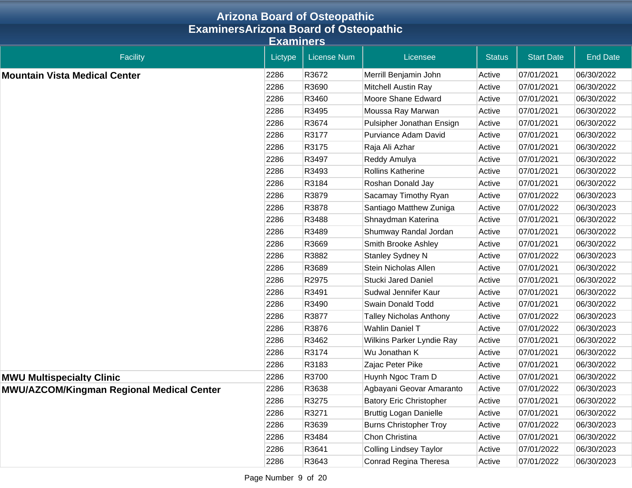|                                                  |                  | <b>Arizona Board of Osteopathic</b> |                                |               |                   |                 |  |  |
|--------------------------------------------------|------------------|-------------------------------------|--------------------------------|---------------|-------------------|-----------------|--|--|
| <b>ExaminersArizona Board of Osteopathic</b>     |                  |                                     |                                |               |                   |                 |  |  |
|                                                  | <b>Examiners</b> |                                     |                                |               |                   |                 |  |  |
| <b>Facility</b>                                  | Lictype          | <b>License Num</b>                  | Licensee                       | <b>Status</b> | <b>Start Date</b> | <b>End Date</b> |  |  |
| <b>Mountain Vista Medical Center</b>             | 2286             | R3672                               | Merrill Benjamin John          | Active        | 07/01/2021        | 06/30/2022      |  |  |
|                                                  | 2286             | R3690                               | Mitchell Austin Ray            | Active        | 07/01/2021        | 06/30/2022      |  |  |
|                                                  | 2286             | R3460                               | Moore Shane Edward             | Active        | 07/01/2021        | 06/30/2022      |  |  |
|                                                  | 2286             | R3495                               | Moussa Ray Marwan              | Active        | 07/01/2021        | 06/30/2022      |  |  |
|                                                  | 2286             | R3674                               | Pulsipher Jonathan Ensign      | Active        | 07/01/2021        | 06/30/2022      |  |  |
|                                                  | 2286             | R3177                               | Purviance Adam David           | Active        | 07/01/2021        | 06/30/2022      |  |  |
|                                                  | 2286             | R3175                               | Raja Ali Azhar                 | Active        | 07/01/2021        | 06/30/2022      |  |  |
|                                                  | 2286             | R3497                               | Reddy Amulya                   | Active        | 07/01/2021        | 06/30/2022      |  |  |
|                                                  | 2286             | R3493                               | Rollins Katherine              | Active        | 07/01/2021        | 06/30/2022      |  |  |
|                                                  | 2286             | R3184                               | Roshan Donald Jay              | Active        | 07/01/2021        | 06/30/2022      |  |  |
|                                                  | 2286             | R3879                               | Sacamay Timothy Ryan           | Active        | 07/01/2022        | 06/30/2023      |  |  |
|                                                  | 2286             | R3878                               | Santiago Matthew Zuniga        | Active        | 07/01/2022        | 06/30/2023      |  |  |
|                                                  | 2286             | R3488                               | Shnaydman Katerina             | Active        | 07/01/2021        | 06/30/2022      |  |  |
|                                                  | 2286             | R3489                               | Shumway Randal Jordan          | Active        | 07/01/2021        | 06/30/2022      |  |  |
|                                                  | 2286             | R3669                               | Smith Brooke Ashley            | Active        | 07/01/2021        | 06/30/2022      |  |  |
|                                                  | 2286             | R3882                               | Stanley Sydney N               | Active        | 07/01/2022        | 06/30/2023      |  |  |
|                                                  | 2286             | R3689                               | Stein Nicholas Allen           | Active        | 07/01/2021        | 06/30/2022      |  |  |
|                                                  | 2286             | R2975                               | <b>Stucki Jared Daniel</b>     | Active        | 07/01/2021        | 06/30/2022      |  |  |
|                                                  | 2286             | R3491                               | Sudwal Jennifer Kaur           | Active        | 07/01/2021        | 06/30/2022      |  |  |
|                                                  | 2286             | R3490                               | Swain Donald Todd              | Active        | 07/01/2021        | 06/30/2022      |  |  |
|                                                  | 2286             | R3877                               | <b>Talley Nicholas Anthony</b> | Active        | 07/01/2022        | 06/30/2023      |  |  |
|                                                  | 2286             | R3876                               | <b>Wahlin Daniel T</b>         | Active        | 07/01/2022        | 06/30/2023      |  |  |
|                                                  | 2286             | R3462                               | Wilkins Parker Lyndie Ray      | Active        | 07/01/2021        | 06/30/2022      |  |  |
|                                                  | 2286             | R3174                               | Wu Jonathan K                  | Active        | 07/01/2021        | 06/30/2022      |  |  |
|                                                  | 2286             | R3183                               | Zajac Peter Pike               | Active        | 07/01/2021        | 06/30/2022      |  |  |
| <b>MWU Multispecialty Clinic</b>                 | 2286             | R3700                               | Huynh Ngoc Tram D              | Active        | 07/01/2021        | 06/30/2022      |  |  |
| <b>MWU/AZCOM/Kingman Regional Medical Center</b> | 2286             | R3638                               | Agbayani Geovar Amaranto       | Active        | 07/01/2022        | 06/30/2023      |  |  |
|                                                  | 2286             | R3275                               | <b>Batory Eric Christopher</b> | Active        | 07/01/2021        | 06/30/2022      |  |  |
|                                                  | 2286             | R3271                               | <b>Bruttig Logan Danielle</b>  | Active        | 07/01/2021        | 06/30/2022      |  |  |
|                                                  | 2286             | R3639                               | <b>Burns Christopher Troy</b>  | Active        | 07/01/2022        | 06/30/2023      |  |  |
|                                                  | 2286             | R3484                               | Chon Christina                 | Active        | 07/01/2021        | 06/30/2022      |  |  |
|                                                  | 2286             | R3641                               | <b>Colling Lindsey Taylor</b>  | Active        | 07/01/2022        | 06/30/2023      |  |  |
|                                                  | 2286             | R3643                               | Conrad Regina Theresa          | Active        | 07/01/2022        | 06/30/2023      |  |  |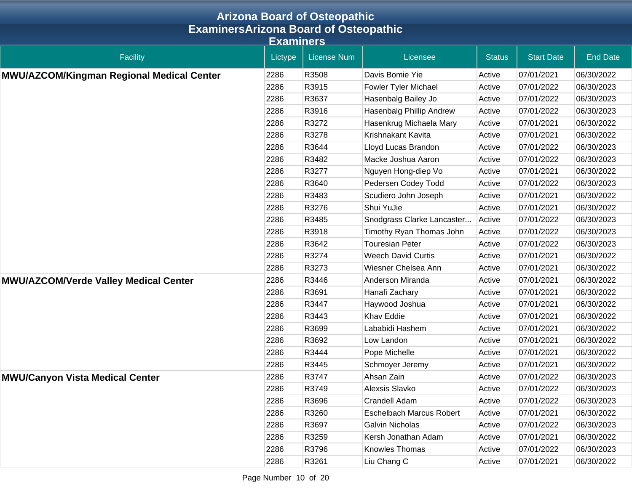|                                                  |         | <b>Arizona Board of Osteopathic</b> |                                 |               |                   |                 |  |  |  |
|--------------------------------------------------|---------|-------------------------------------|---------------------------------|---------------|-------------------|-----------------|--|--|--|
| <b>ExaminersArizona Board of Osteopathic</b>     |         |                                     |                                 |               |                   |                 |  |  |  |
| Examiners                                        |         |                                     |                                 |               |                   |                 |  |  |  |
| <b>Facility</b>                                  | Lictype | <b>License Num</b>                  | Licensee                        | <b>Status</b> | <b>Start Date</b> | <b>End Date</b> |  |  |  |
| <b>MWU/AZCOM/Kingman Regional Medical Center</b> | 2286    | R3508                               | Davis Bomie Yie                 | Active        | 07/01/2021        | 06/30/2022      |  |  |  |
|                                                  | 2286    | R3915                               | Fowler Tyler Michael            | Active        | 07/01/2022        | 06/30/2023      |  |  |  |
|                                                  | 2286    | R3637                               | Hasenbalg Bailey Jo             | Active        | 07/01/2022        | 06/30/2023      |  |  |  |
|                                                  | 2286    | R3916                               | Hasenbalg Phillip Andrew        | Active        | 07/01/2022        | 06/30/2023      |  |  |  |
|                                                  | 2286    | R3272                               | Hasenkrug Michaela Mary         | Active        | 07/01/2021        | 06/30/2022      |  |  |  |
|                                                  | 2286    | R3278                               | Krishnakant Kavita              | Active        | 07/01/2021        | 06/30/2022      |  |  |  |
|                                                  | 2286    | R3644                               | Lloyd Lucas Brandon             | Active        | 07/01/2022        | 06/30/2023      |  |  |  |
|                                                  | 2286    | R3482                               | Macke Joshua Aaron              | Active        | 07/01/2022        | 06/30/2023      |  |  |  |
|                                                  | 2286    | R3277                               | Nguyen Hong-diep Vo             | Active        | 07/01/2021        | 06/30/2022      |  |  |  |
|                                                  | 2286    | R3640                               | Pedersen Codey Todd             | Active        | 07/01/2022        | 06/30/2023      |  |  |  |
|                                                  | 2286    | R3483                               | Scudiero John Joseph            | Active        | 07/01/2021        | 06/30/2022      |  |  |  |
|                                                  | 2286    | R3276                               | Shui YuJie                      | Active        | 07/01/2021        | 06/30/2022      |  |  |  |
|                                                  | 2286    | R3485                               | Snodgrass Clarke Lancaster      | Active        | 07/01/2022        | 06/30/2023      |  |  |  |
|                                                  | 2286    | R3918                               | Timothy Ryan Thomas John        | Active        | 07/01/2022        | 06/30/2023      |  |  |  |
|                                                  | 2286    | R3642                               | <b>Touresian Peter</b>          | Active        | 07/01/2022        | 06/30/2023      |  |  |  |
|                                                  | 2286    | R3274                               | <b>Weech David Curtis</b>       | Active        | 07/01/2021        | 06/30/2022      |  |  |  |
|                                                  | 2286    | R3273                               | Wiesner Chelsea Ann             | Active        | 07/01/2021        | 06/30/2022      |  |  |  |
| <b>MWU/AZCOM/Verde Valley Medical Center</b>     | 2286    | R3446                               | Anderson Miranda                | Active        | 07/01/2021        | 06/30/2022      |  |  |  |
|                                                  | 2286    | R3691                               | Hanafi Zachary                  | Active        | 07/01/2021        | 06/30/2022      |  |  |  |
|                                                  | 2286    | R3447                               | Haywood Joshua                  | Active        | 07/01/2021        | 06/30/2022      |  |  |  |
|                                                  | 2286    | R3443                               | <b>Khav Eddie</b>               | Active        | 07/01/2021        | 06/30/2022      |  |  |  |
|                                                  | 2286    | R3699                               | Lababidi Hashem                 | Active        | 07/01/2021        | 06/30/2022      |  |  |  |
|                                                  | 2286    | R3692                               | Low Landon                      | Active        | 07/01/2021        | 06/30/2022      |  |  |  |
|                                                  | 2286    | R3444                               | Pope Michelle                   | Active        | 07/01/2021        | 06/30/2022      |  |  |  |
|                                                  | 2286    | R3445                               | Schmoyer Jeremy                 | Active        | 07/01/2021        | 06/30/2022      |  |  |  |
| <b>MWU/Canyon Vista Medical Center</b>           | 2286    | R3747                               | Ahsan Zain                      | Active        | 07/01/2022        | 06/30/2023      |  |  |  |
|                                                  | 2286    | R3749                               | Alexsis Slavko                  | Active        | 07/01/2022        | 06/30/2023      |  |  |  |
|                                                  | 2286    | R3696                               | Crandell Adam                   | Active        | 07/01/2022        | 06/30/2023      |  |  |  |
|                                                  | 2286    | R3260                               | <b>Eschelbach Marcus Robert</b> | Active        | 07/01/2021        | 06/30/2022      |  |  |  |
|                                                  | 2286    | R3697                               | <b>Galvin Nicholas</b>          | Active        | 07/01/2022        | 06/30/2023      |  |  |  |
|                                                  | 2286    | R3259                               | Kersh Jonathan Adam             | Active        | 07/01/2021        | 06/30/2022      |  |  |  |
|                                                  | 2286    | R3796                               | Knowles Thomas                  | Active        | 07/01/2022        | 06/30/2023      |  |  |  |
|                                                  | 2286    | R3261                               | Liu Chang C                     | Active        | 07/01/2021        | 06/30/2022      |  |  |  |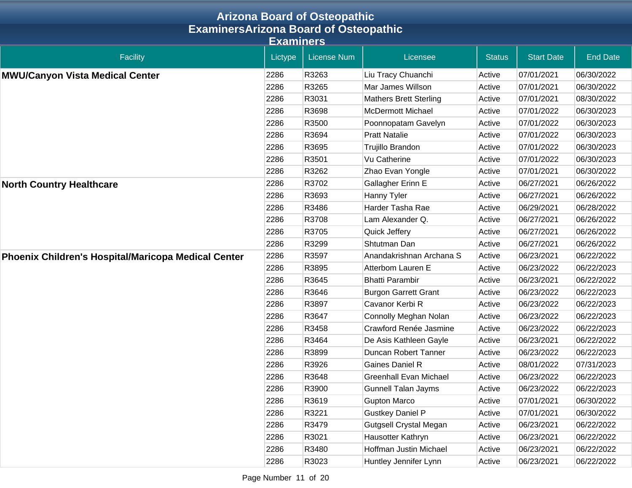|                                                     |         | <b>Arizona Board of Osteopathic</b> |                               |               |                   |                 |  |  |  |
|-----------------------------------------------------|---------|-------------------------------------|-------------------------------|---------------|-------------------|-----------------|--|--|--|
| <b>ExaminersArizona Board of Osteopathic</b>        |         |                                     |                               |               |                   |                 |  |  |  |
| <b>Examiners</b>                                    |         |                                     |                               |               |                   |                 |  |  |  |
| <b>Facility</b>                                     | Lictype | <b>License Num</b>                  | Licensee                      | <b>Status</b> | <b>Start Date</b> | <b>End Date</b> |  |  |  |
| <b>MWU/Canyon Vista Medical Center</b>              | 2286    | R3263                               | Liu Tracy Chuanchi            | Active        | 07/01/2021        | 06/30/2022      |  |  |  |
|                                                     | 2286    | R3265                               | Mar James Willson             | Active        | 07/01/2021        | 06/30/2022      |  |  |  |
|                                                     | 2286    | R3031                               | <b>Mathers Brett Sterling</b> | Active        | 07/01/2021        | 08/30/2022      |  |  |  |
|                                                     | 2286    | R3698                               | <b>McDermott Michael</b>      | Active        | 07/01/2022        | 06/30/2023      |  |  |  |
|                                                     | 2286    | R3500                               | Poonnopatam Gavelyn           | Active        | 07/01/2022        | 06/30/2023      |  |  |  |
|                                                     | 2286    | R3694                               | <b>Pratt Natalie</b>          | Active        | 07/01/2022        | 06/30/2023      |  |  |  |
|                                                     | 2286    | R3695                               | Trujillo Brandon              | Active        | 07/01/2022        | 06/30/2023      |  |  |  |
|                                                     | 2286    | R3501                               | Vu Catherine                  | Active        | 07/01/2022        | 06/30/2023      |  |  |  |
|                                                     | 2286    | R3262                               | Zhao Evan Yongle              | Active        | 07/01/2021        | 06/30/2022      |  |  |  |
| <b>North Country Healthcare</b>                     | 2286    | R3702                               | Gallagher Erinn E             | Active        | 06/27/2021        | 06/26/2022      |  |  |  |
|                                                     | 2286    | R3693                               | Hanny Tyler                   | Active        | 06/27/2021        | 06/26/2022      |  |  |  |
|                                                     | 2286    | R3486                               | Harder Tasha Rae              | Active        | 06/29/2021        | 06/28/2022      |  |  |  |
|                                                     | 2286    | R3708                               | Lam Alexander Q.              | Active        | 06/27/2021        | 06/26/2022      |  |  |  |
|                                                     | 2286    | R3705                               | Quick Jeffery                 | Active        | 06/27/2021        | 06/26/2022      |  |  |  |
|                                                     | 2286    | R3299                               | Shtutman Dan                  | Active        | 06/27/2021        | 06/26/2022      |  |  |  |
| Phoenix Children's Hospital/Maricopa Medical Center | 2286    | R3597                               | Anandakrishnan Archana S      | Active        | 06/23/2021        | 06/22/2022      |  |  |  |
|                                                     | 2286    | R3895                               | Atterbom Lauren E             | Active        | 06/23/2022        | 06/22/2023      |  |  |  |
|                                                     | 2286    | R3645                               | <b>Bhatti Parambir</b>        | Active        | 06/23/2021        | 06/22/2022      |  |  |  |
|                                                     | 2286    | R3646                               | <b>Burgon Garrett Grant</b>   | Active        | 06/23/2022        | 06/22/2023      |  |  |  |
|                                                     | 2286    | R3897                               | Cavanor Kerbi R               | Active        | 06/23/2022        | 06/22/2023      |  |  |  |
|                                                     | 2286    | R3647                               | Connolly Meghan Nolan         | Active        | 06/23/2022        | 06/22/2023      |  |  |  |
|                                                     | 2286    | R3458                               | Crawford Renée Jasmine        | Active        | 06/23/2022        | 06/22/2023      |  |  |  |
|                                                     | 2286    | R3464                               | De Asis Kathleen Gayle        | Active        | 06/23/2021        | 06/22/2022      |  |  |  |
|                                                     | 2286    | R3899                               | Duncan Robert Tanner          | Active        | 06/23/2022        | 06/22/2023      |  |  |  |
|                                                     | 2286    | R3926                               | Gaines Daniel R               | Active        | 08/01/2022        | 07/31/2023      |  |  |  |
|                                                     | 2286    | R3648                               | Greenhall Evan Michael        | Active        | 06/23/2022        | 06/22/2023      |  |  |  |
|                                                     | 2286    | R3900                               | <b>Gunnell Talan Jayms</b>    | Active        | 06/23/2022        | 06/22/2023      |  |  |  |
|                                                     | 2286    | R3619                               | <b>Gupton Marco</b>           | Active        | 07/01/2021        | 06/30/2022      |  |  |  |
|                                                     | 2286    | R3221                               | <b>Gustkey Daniel P</b>       | Active        | 07/01/2021        | 06/30/2022      |  |  |  |
|                                                     | 2286    | R3479                               | <b>Gutgsell Crystal Megan</b> | Active        | 06/23/2021        | 06/22/2022      |  |  |  |
|                                                     | 2286    | R3021                               | Hausotter Kathryn             | Active        | 06/23/2021        | 06/22/2022      |  |  |  |
|                                                     | 2286    | R3480                               | Hoffman Justin Michael        | Active        | 06/23/2021        | 06/22/2022      |  |  |  |
|                                                     | 2286    | R3023                               | Huntley Jennifer Lynn         | Active        | 06/23/2021        | 06/22/2022      |  |  |  |

Page Number 11 of 20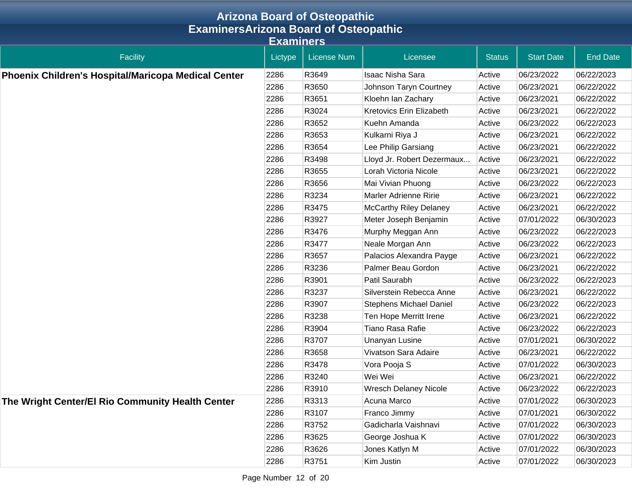|                                                            |         | <b>Arizona Board of Osteopathic</b> |                                |               |                   |                 |  |  |  |
|------------------------------------------------------------|---------|-------------------------------------|--------------------------------|---------------|-------------------|-----------------|--|--|--|
| <b>ExaminersArizona Board of Osteopathic</b>               |         |                                     |                                |               |                   |                 |  |  |  |
| <b>Examiners</b>                                           |         |                                     |                                |               |                   |                 |  |  |  |
| Facility                                                   | Lictype | <b>License Num</b>                  | Licensee                       | <b>Status</b> | <b>Start Date</b> | <b>End Date</b> |  |  |  |
| <b>Phoenix Children's Hospital/Maricopa Medical Center</b> | 2286    | R3649                               | <b>Isaac Nisha Sara</b>        | Active        | 06/23/2022        | 06/22/2023      |  |  |  |
|                                                            | 2286    | R3650                               | Johnson Taryn Courtney         | Active        | 06/23/2021        | 06/22/2022      |  |  |  |
|                                                            | 2286    | R3651                               | Kloehn Ian Zachary             | Active        | 06/23/2021        | 06/22/2022      |  |  |  |
|                                                            | 2286    | R3024                               | Kretovics Erin Elizabeth       | Active        | 06/23/2021        | 06/22/2022      |  |  |  |
|                                                            | 2286    | R3652                               | Kuehn Amanda                   | Active        | 06/23/2022        | 06/22/2023      |  |  |  |
|                                                            | 2286    | R3653                               | Kulkarni Riya J                | Active        | 06/23/2021        | 06/22/2022      |  |  |  |
|                                                            | 2286    | R3654                               | Lee Philip Garsiang            | Active        | 06/23/2021        | 06/22/2022      |  |  |  |
|                                                            | 2286    | R3498                               | Lloyd Jr. Robert Dezermaux     | Active        | 06/23/2021        | 06/22/2022      |  |  |  |
|                                                            | 2286    | R3655                               | Lorah Victoria Nicole          | Active        | 06/23/2021        | 06/22/2022      |  |  |  |
|                                                            | 2286    | R3656                               | Mai Vivian Phuong              | Active        | 06/23/2022        | 06/22/2023      |  |  |  |
|                                                            | 2286    | R3234                               | Marler Adrienne Ririe          | Active        | 06/23/2021        | 06/22/2022      |  |  |  |
|                                                            | 2286    | R3475                               | <b>McCarthy Riley Delaney</b>  | Active        | 06/23/2021        | 06/22/2022      |  |  |  |
|                                                            | 2286    | R3927                               | Meter Joseph Benjamin          | Active        | 07/01/2022        | 06/30/2023      |  |  |  |
|                                                            | 2286    | R3476                               | Murphy Meggan Ann              | Active        | 06/23/2022        | 06/22/2023      |  |  |  |
|                                                            | 2286    | R3477                               | Neale Morgan Ann               | Active        | 06/23/2022        | 06/22/2023      |  |  |  |
|                                                            | 2286    | R3657                               | Palacios Alexandra Payge       | Active        | 06/23/2021        | 06/22/2022      |  |  |  |
|                                                            | 2286    | R3236                               | Palmer Beau Gordon             | Active        | 06/23/2021        | 06/22/2022      |  |  |  |
|                                                            | 2286    | R3901                               | Patil Saurabh                  | Active        | 06/23/2022        | 06/22/2023      |  |  |  |
|                                                            | 2286    | R3237                               | Silverstein Rebecca Anne       | Active        | 06/23/2021        | 06/22/2022      |  |  |  |
|                                                            | 2286    | R3907                               | <b>Stephens Michael Daniel</b> | Active        | 06/23/2022        | 06/22/2023      |  |  |  |
|                                                            | 2286    | R3238                               | Ten Hope Merritt Irene         | Active        | 06/23/2021        | 06/22/2022      |  |  |  |
|                                                            | 2286    | R3904                               | Tiano Rasa Rafie               | Active        | 06/23/2022        | 06/22/2023      |  |  |  |
|                                                            | 2286    | R3707                               | Unanyan Lusine                 | Active        | 07/01/2021        | 06/30/2022      |  |  |  |
|                                                            | 2286    | R3658                               | Vivatson Sara Adaire           | Active        | 06/23/2021        | 06/22/2022      |  |  |  |
|                                                            | 2286    | R3478                               | Vora Pooja S                   | Active        | 07/01/2022        | 06/30/2023      |  |  |  |
|                                                            | 2286    | R3240                               | Wei Wei                        | Active        | 06/23/2021        | 06/22/2022      |  |  |  |
|                                                            | 2286    | R3910                               | <b>Wresch Delaney Nicole</b>   | Active        | 06/23/2022        | 06/22/2023      |  |  |  |
| The Wright Center/El Rio Community Health Center           | 2286    | R3313                               | Acuna Marco                    | Active        | 07/01/2022        | 06/30/2023      |  |  |  |
|                                                            | 2286    | R3107                               | Franco Jimmy                   | Active        | 07/01/2021        | 06/30/2022      |  |  |  |
|                                                            | 2286    | R3752                               | Gadicharla Vaishnavi           | Active        | 07/01/2022        | 06/30/2023      |  |  |  |
|                                                            | 2286    | R3625                               | George Joshua K                | Active        | 07/01/2022        | 06/30/2023      |  |  |  |
|                                                            | 2286    | R3626                               | Jones Katlyn M                 | Active        | 07/01/2022        | 06/30/2023      |  |  |  |
|                                                            | 2286    | R3751                               | Kim Justin                     | Active        | 07/01/2022        | 06/30/2023      |  |  |  |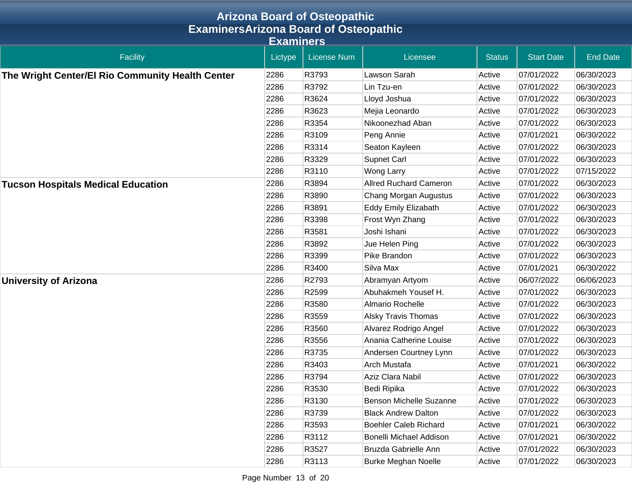|                                                  |                  | <b>Arizona Board of Osteopathic</b> |                               |               |                   |                 |
|--------------------------------------------------|------------------|-------------------------------------|-------------------------------|---------------|-------------------|-----------------|
| <b>ExaminersArizona Board of Osteopathic</b>     |                  |                                     |                               |               |                   |                 |
|                                                  | <b>Examiners</b> |                                     |                               |               |                   |                 |
| <b>Facility</b>                                  | Lictype          | <b>License Num</b>                  | Licensee                      | <b>Status</b> | <b>Start Date</b> | <b>End Date</b> |
| The Wright Center/El Rio Community Health Center | 2286             | R3793                               | Lawson Sarah                  | Active        | 07/01/2022        | 06/30/2023      |
|                                                  | 2286             | R3792                               | Lin Tzu-en                    | Active        | 07/01/2022        | 06/30/2023      |
|                                                  | 2286             | R3624                               | Lloyd Joshua                  | Active        | 07/01/2022        | 06/30/2023      |
|                                                  | 2286             | R3623                               | Mejia Leonardo                | Active        | 07/01/2022        | 06/30/2023      |
|                                                  | 2286             | R3354                               | Nikoonezhad Aban              | Active        | 07/01/2022        | 06/30/2023      |
|                                                  | 2286             | R3109                               | Peng Annie                    | Active        | 07/01/2021        | 06/30/2022      |
|                                                  | 2286             | R3314                               | Seaton Kayleen                | Active        | 07/01/2022        | 06/30/2023      |
|                                                  | 2286             | R3329                               | <b>Supnet Carl</b>            | Active        | 07/01/2022        | 06/30/2023      |
|                                                  | 2286             | R3110                               | Wong Larry                    | Active        | 07/01/2022        | 07/15/2022      |
| <b>Tucson Hospitals Medical Education</b>        | 2286             | R3894                               | <b>Allred Ruchard Cameron</b> | Active        | 07/01/2022        | 06/30/2023      |
|                                                  | 2286             | R3890                               | Chang Morgan Augustus         | Active        | 07/01/2022        | 06/30/2023      |
|                                                  | 2286             | R3891                               | <b>Eddy Emily Elizabath</b>   | Active        | 07/01/2022        | 06/30/2023      |
|                                                  | 2286             | R3398                               | Frost Wyn Zhang               | Active        | 07/01/2022        | 06/30/2023      |
|                                                  | 2286             | R3581                               | Joshi Ishani                  | Active        | 07/01/2022        | 06/30/2023      |
|                                                  | 2286             | R3892                               | Jue Helen Ping                | Active        | 07/01/2022        | 06/30/2023      |
|                                                  | 2286             | R3399                               | Pike Brandon                  | Active        | 07/01/2022        | 06/30/2023      |
|                                                  | 2286             | R3400                               | Silva Max                     | Active        | 07/01/2021        | 06/30/2022      |
| <b>University of Arizona</b>                     | 2286             | R2793                               | Abramyan Artyom               | Active        | 06/07/2022        | 06/06/2023      |
|                                                  | 2286             | R2599                               | Abuhakmeh Yousef H.           | Active        | 07/01/2022        | 06/30/2023      |
|                                                  | 2286             | R3580                               | Almario Rochelle              | Active        | 07/01/2022        | 06/30/2023      |
|                                                  | 2286             | R3559                               | <b>Alsky Travis Thomas</b>    | Active        | 07/01/2022        | 06/30/2023      |
|                                                  | 2286             | R3560                               | Alvarez Rodrigo Angel         | Active        | 07/01/2022        | 06/30/2023      |
|                                                  | 2286             | R3556                               | Anania Catherine Louise       | Active        | 07/01/2022        | 06/30/2023      |
|                                                  | 2286             | R3735                               | Andersen Courtney Lynn        | Active        | 07/01/2022        | 06/30/2023      |
|                                                  | 2286             | R3403                               | Arch Mustafa                  | Active        | 07/01/2021        | 06/30/2022      |
|                                                  | 2286             | R3794                               | Aziz Clara Nabil              | Active        | 07/01/2022        | 06/30/2023      |
|                                                  | 2286             | R3530                               | Bedi Ripika                   | Active        | 07/01/2022        | 06/30/2023      |
|                                                  | 2286             | R3130                               | Benson Michelle Suzanne       | Active        | 07/01/2022        | 06/30/2023      |
|                                                  | 2286             | R3739                               | <b>Black Andrew Dalton</b>    | Active        | 07/01/2022        | 06/30/2023      |
|                                                  | 2286             | R3593                               | <b>Boehler Caleb Richard</b>  | Active        | 07/01/2021        | 06/30/2022      |
|                                                  | 2286             | R3112                               | Bonelli Michael Addison       | Active        | 07/01/2021        | 06/30/2022      |
|                                                  | 2286             | R3527                               | Bruzda Gabrielle Ann          | Active        | 07/01/2022        | 06/30/2023      |
|                                                  | 2286             | R3113                               | <b>Burke Meghan Noelle</b>    | Active        | 07/01/2022        | 06/30/2023      |

Page Number 13 of 20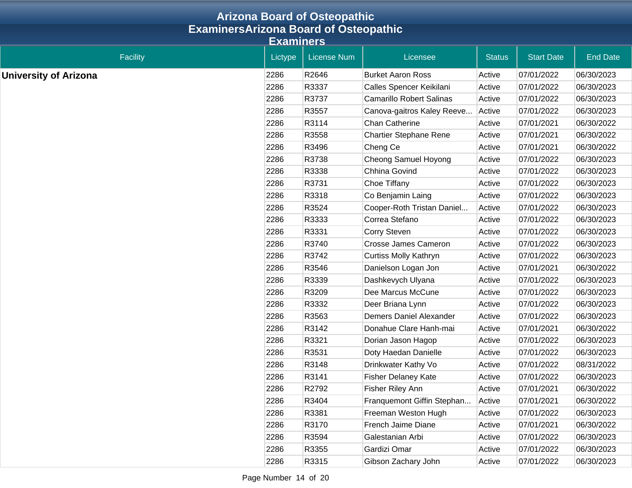|                                              | <b>Arizona Board of Osteopathic</b> |                    |                                 |               |                   |                 |  |  |
|----------------------------------------------|-------------------------------------|--------------------|---------------------------------|---------------|-------------------|-----------------|--|--|
| <b>ExaminersArizona Board of Osteopathic</b> |                                     |                    |                                 |               |                   |                 |  |  |
|                                              | <b>Examiners</b>                    |                    |                                 |               |                   |                 |  |  |
| <b>Facility</b>                              | Lictype                             | <b>License Num</b> | Licensee                        | <b>Status</b> | <b>Start Date</b> | <b>End Date</b> |  |  |
| <b>University of Arizona</b>                 | 2286                                | R2646              | <b>Burket Aaron Ross</b>        | Active        | 07/01/2022        | 06/30/2023      |  |  |
|                                              | 2286                                | R3337              | Calles Spencer Keikilani        | Active        | 07/01/2022        | 06/30/2023      |  |  |
|                                              | 2286                                | R3737              | <b>Camarillo Robert Salinas</b> | Active        | 07/01/2022        | 06/30/2023      |  |  |
|                                              | 2286                                | R3557              | Canova-gaitros Kaley Reeve      | Active        | 07/01/2022        | 06/30/2023      |  |  |
|                                              | 2286                                | R3114              | <b>Chan Catherine</b>           | Active        | 07/01/2021        | 06/30/2022      |  |  |
|                                              | 2286                                | R3558              | <b>Chartier Stephane Rene</b>   | Active        | 07/01/2021        | 06/30/2022      |  |  |
|                                              | 2286                                | R3496              | Cheng Ce                        | Active        | 07/01/2021        | 06/30/2022      |  |  |
|                                              | 2286                                | R3738              | Cheong Samuel Hoyong            | Active        | 07/01/2022        | 06/30/2023      |  |  |
|                                              | 2286                                | R3338              | Chhina Govind                   | Active        | 07/01/2022        | 06/30/2023      |  |  |
|                                              | 2286                                | R3731              | Choe Tiffany                    | Active        | 07/01/2022        | 06/30/2023      |  |  |
|                                              | 2286                                | R3318              | Co Benjamin Laing               | Active        | 07/01/2022        | 06/30/2023      |  |  |
|                                              | 2286                                | R3524              | Cooper-Roth Tristan Daniel      | Active        | 07/01/2022        | 06/30/2023      |  |  |
|                                              | 2286                                | R3333              | Correa Stefano                  | Active        | 07/01/2022        | 06/30/2023      |  |  |
|                                              | 2286                                | R3331              | <b>Corry Steven</b>             | Active        | 07/01/2022        | 06/30/2023      |  |  |
|                                              | 2286                                | R3740              | <b>Crosse James Cameron</b>     | Active        | 07/01/2022        | 06/30/2023      |  |  |
|                                              | 2286                                | R3742              | <b>Curtiss Molly Kathryn</b>    | Active        | 07/01/2022        | 06/30/2023      |  |  |
|                                              | 2286                                | R3546              | Danielson Logan Jon             | Active        | 07/01/2021        | 06/30/2022      |  |  |
|                                              | 2286                                | R3339              | Dashkevych Ulyana               | Active        | 07/01/2022        | 06/30/2023      |  |  |
|                                              | 2286                                | R3209              | Dee Marcus McCune               | Active        | 07/01/2022        | 06/30/2023      |  |  |
|                                              | 2286                                | R3332              | Deer Briana Lynn                | Active        | 07/01/2022        | 06/30/2023      |  |  |
|                                              | 2286                                | R3563              | <b>Demers Daniel Alexander</b>  | Active        | 07/01/2022        | 06/30/2023      |  |  |
|                                              | 2286                                | R3142              | Donahue Clare Hanh-mai          | Active        | 07/01/2021        | 06/30/2022      |  |  |
|                                              | 2286                                | R3321              | Dorian Jason Hagop              | Active        | 07/01/2022        | 06/30/2023      |  |  |
|                                              | 2286                                | R3531              | Doty Haedan Danielle            | Active        | 07/01/2022        | 06/30/2023      |  |  |
|                                              | 2286                                | R3148              | Drinkwater Kathy Vo             | Active        | 07/01/2022        | 08/31/2022      |  |  |
|                                              | 2286                                | R3141              | <b>Fisher Delaney Kate</b>      | Active        | 07/01/2022        | 06/30/2023      |  |  |
|                                              | 2286                                | R2792              | Fisher Riley Ann                | Active        | 07/01/2021        | 06/30/2022      |  |  |
|                                              | 2286                                | R3404              | Franquemont Giffin Stephan      | Active        | 07/01/2021        | 06/30/2022      |  |  |
|                                              | 2286                                | R3381              | Freeman Weston Hugh             | Active        | 07/01/2022        | 06/30/2023      |  |  |
|                                              | 2286                                | R3170              | French Jaime Diane              | Active        | 07/01/2021        | 06/30/2022      |  |  |
|                                              | 2286                                | R3594              | Galestanian Arbi                | Active        | 07/01/2022        | 06/30/2023      |  |  |
|                                              | 2286                                | R3355              | Gardizi Omar                    | Active        | 07/01/2022        | 06/30/2023      |  |  |
|                                              | 2286                                | R3315              | Gibson Zachary John             | Active        | 07/01/2022        | 06/30/2023      |  |  |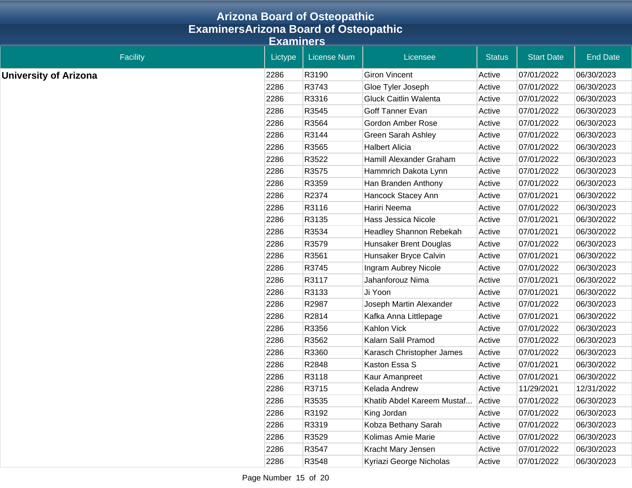|                              | <b>Arizona Board of Osteopathic</b>          |                    |                                |               |                   |                 |
|------------------------------|----------------------------------------------|--------------------|--------------------------------|---------------|-------------------|-----------------|
|                              | <b>ExaminersArizona Board of Osteopathic</b> |                    |                                |               |                   |                 |
|                              | <b>Examiners</b>                             |                    |                                |               |                   |                 |
| Facility                     | Lictype                                      | <b>License Num</b> | Licensee                       | <b>Status</b> | <b>Start Date</b> | <b>End Date</b> |
| <b>University of Arizona</b> | 2286                                         | R3190              | <b>Giron Vincent</b>           | Active        | 07/01/2022        | 06/30/2023      |
|                              | 2286                                         | R3743              | Gloe Tyler Joseph              | Active        | 07/01/2022        | 06/30/2023      |
|                              | 2286                                         | R3316              | <b>Gluck Caitlin Walenta</b>   | Active        | 07/01/2022        | 06/30/2023      |
|                              | 2286                                         | R3545              | Goff Tanner Evan               | Active        | 07/01/2022        | 06/30/2023      |
|                              | 2286                                         | R3564              | <b>Gordon Amber Rose</b>       | Active        | 07/01/2022        | 06/30/2023      |
|                              | 2286                                         | R3144              | <b>Green Sarah Ashley</b>      | Active        | 07/01/2022        | 06/30/2023      |
|                              | 2286                                         | R3565              | <b>Halbert Alicia</b>          | Active        | 07/01/2022        | 06/30/2023      |
|                              | 2286                                         | R3522              | Hamill Alexander Graham        | Active        | 07/01/2022        | 06/30/2023      |
|                              | 2286                                         | R3575              | Hammrich Dakota Lynn           | Active        | 07/01/2022        | 06/30/2023      |
|                              | 2286                                         | R3359              | Han Branden Anthony            | Active        | 07/01/2022        | 06/30/2023      |
|                              | 2286                                         | R2374              | Hancock Stacey Ann             | Active        | 07/01/2021        | 06/30/2022      |
|                              | 2286                                         | R3116              | Hariri Neema                   | Active        | 07/01/2022        | 06/30/2023      |
|                              | 2286                                         | R3135              | Hass Jessica Nicole            | Active        | 07/01/2021        | 06/30/2022      |
|                              | 2286                                         | R3534              | <b>Headley Shannon Rebekah</b> | Active        | 07/01/2021        | 06/30/2022      |
|                              | 2286                                         | R3579              | Hunsaker Brent Douglas         | Active        | 07/01/2022        | 06/30/2023      |
|                              | 2286                                         | R3561              | Hunsaker Bryce Calvin          | Active        | 07/01/2021        | 06/30/2022      |
|                              | 2286                                         | R3745              | Ingram Aubrey Nicole           | Active        | 07/01/2022        | 06/30/2023      |
|                              | 2286                                         | R3117              | Jahanforouz Nima               | Active        | 07/01/2021        | 06/30/2022      |
|                              | 2286                                         | R3133              | Ji Yoon                        | Active        | 07/01/2021        | 06/30/2022      |
|                              | 2286                                         | R2987              | Joseph Martin Alexander        | Active        | 07/01/2022        | 06/30/2023      |
|                              | 2286                                         | R2814              | Kafka Anna Littlepage          | Active        | 07/01/2021        | 06/30/2022      |
|                              | 2286                                         | R3356              | Kahlon Vick                    | Active        | 07/01/2022        | 06/30/2023      |
|                              | 2286                                         | R3562              | Kalarn Salil Pramod            | Active        | 07/01/2022        | 06/30/2023      |
|                              | 2286                                         | R3360              | Karasch Christopher James      | Active        | 07/01/2022        | 06/30/2023      |
|                              | 2286                                         | R2848              | Kaston Essa S                  | Active        | 07/01/2021        | 06/30/2022      |
|                              | 2286                                         | R3118              | Kaur Amanpreet                 | Active        | 07/01/2021        | 06/30/2022      |
|                              | 2286                                         | R3715              | Kelada Andrew                  | Active        | 11/29/2021        | 12/31/2022      |
|                              | 2286                                         | R3535              | Khatib Abdel Kareem Mustaf     | Active        | 07/01/2022        | 06/30/2023      |
|                              | 2286                                         | R3192              | King Jordan                    | Active        | 07/01/2022        | 06/30/2023      |
|                              | 2286                                         | R3319              | Kobza Bethany Sarah            | Active        | 07/01/2022        | 06/30/2023      |
|                              | 2286                                         | R3529              | Kolimas Amie Marie             | Active        | 07/01/2022        | 06/30/2023      |
|                              | 2286                                         | R3547              | Kracht Mary Jensen             | Active        | 07/01/2022        | 06/30/2023      |
|                              | 2286                                         | R3548              | Kyriazi George Nicholas        | Active        | 07/01/2022        | 06/30/2023      |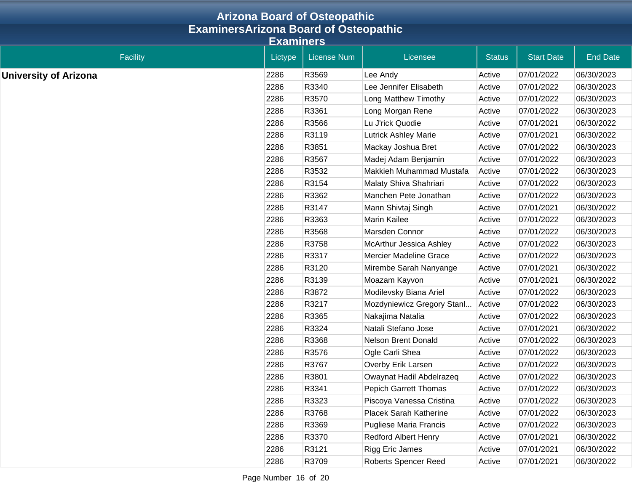|                              | <b>Arizona Board of Osteopathic</b>          |                    |                               |               |                   |                 |
|------------------------------|----------------------------------------------|--------------------|-------------------------------|---------------|-------------------|-----------------|
|                              | <b>ExaminersArizona Board of Osteopathic</b> |                    |                               |               |                   |                 |
|                              | <b>Examiners</b>                             |                    |                               |               |                   |                 |
| <b>Facility</b>              | Lictype                                      | <b>License Num</b> | Licensee                      | <b>Status</b> | <b>Start Date</b> | <b>End Date</b> |
| <b>University of Arizona</b> | 2286                                         | R3569              | Lee Andy                      | Active        | 07/01/2022        | 06/30/2023      |
|                              | 2286                                         | R3340              | Lee Jennifer Elisabeth        | Active        | 07/01/2022        | 06/30/2023      |
|                              | 2286                                         | R3570              | Long Matthew Timothy          | Active        | 07/01/2022        | 06/30/2023      |
|                              | 2286                                         | R3361              | Long Morgan Rene              | Active        | 07/01/2022        | 06/30/2023      |
|                              | 2286                                         | R3566              | Lu J'rick Quodie              | Active        | 07/01/2021        | 06/30/2022      |
|                              | 2286                                         | R3119              | <b>Lutrick Ashley Marie</b>   | Active        | 07/01/2021        | 06/30/2022      |
|                              | 2286                                         | R3851              | Mackay Joshua Bret            | Active        | 07/01/2022        | 06/30/2023      |
|                              | 2286                                         | R3567              | Madej Adam Benjamin           | Active        | 07/01/2022        | 06/30/2023      |
|                              | 2286                                         | R3532              | Makkieh Muhammad Mustafa      | Active        | 07/01/2022        | 06/30/2023      |
|                              | 2286                                         | R3154              | Malaty Shiva Shahriari        | Active        | 07/01/2022        | 06/30/2023      |
|                              | 2286                                         | R3362              | Manchen Pete Jonathan         | Active        | 07/01/2022        | 06/30/2023      |
|                              | 2286                                         | R3147              | Mann Shivtaj Singh            | Active        | 07/01/2021        | 06/30/2022      |
|                              | 2286                                         | R3363              | Marin Kailee                  | Active        | 07/01/2022        | 06/30/2023      |
|                              | 2286                                         | R3568              | Marsden Connor                | Active        | 07/01/2022        | 06/30/2023      |
|                              | 2286                                         | R3758              | McArthur Jessica Ashley       | Active        | 07/01/2022        | 06/30/2023      |
|                              | 2286                                         | R3317              | <b>Mercier Madeline Grace</b> | Active        | 07/01/2022        | 06/30/2023      |
|                              | 2286                                         | R3120              | Mirembe Sarah Nanyange        | Active        | 07/01/2021        | 06/30/2022      |
|                              | 2286                                         | R3139              | Moazam Kayvon                 | Active        | 07/01/2021        | 06/30/2022      |
|                              | 2286                                         | R3872              | Modilevsky Biana Ariel        | Active        | 07/01/2022        | 06/30/2023      |
|                              | 2286                                         | R3217              | Mozdyniewicz Gregory Stanl    | Active        | 07/01/2022        | 06/30/2023      |
|                              | 2286                                         | R3365              | Nakajima Natalia              | Active        | 07/01/2022        | 06/30/2023      |
|                              | 2286                                         | R3324              | Natali Stefano Jose           | Active        | 07/01/2021        | 06/30/2022      |
|                              | 2286                                         | R3368              | Nelson Brent Donald           | Active        | 07/01/2022        | 06/30/2023      |
|                              | 2286                                         | R3576              | Ogle Carli Shea               | Active        | 07/01/2022        | 06/30/2023      |
|                              | 2286                                         | R3767              | Overby Erik Larsen            | Active        | 07/01/2022        | 06/30/2023      |
|                              | 2286                                         | R3801              | Owaynat Hadil Abdelrazeq      | Active        | 07/01/2022        | 06/30/2023      |
|                              | 2286                                         | R3341              | <b>Pepich Garrett Thomas</b>  | Active        | 07/01/2022        | 06/30/2023      |
|                              | 2286                                         | R3323              | Piscoya Vanessa Cristina      | Active        | 07/01/2022        | 06/30/2023      |
|                              | 2286                                         | R3768              | Placek Sarah Katherine        | Active        | 07/01/2022        | 06/30/2023      |
|                              | 2286                                         | R3369              | <b>Pugliese Maria Francis</b> | Active        | 07/01/2022        | 06/30/2023      |
|                              | 2286                                         | R3370              | <b>Redford Albert Henry</b>   | Active        | 07/01/2021        | 06/30/2022      |
|                              | 2286                                         | R3121              | Rigg Eric James               | Active        | 07/01/2021        | 06/30/2022      |
|                              | 2286                                         | R3709              | Roberts Spencer Reed          | Active        | 07/01/2021        | 06/30/2022      |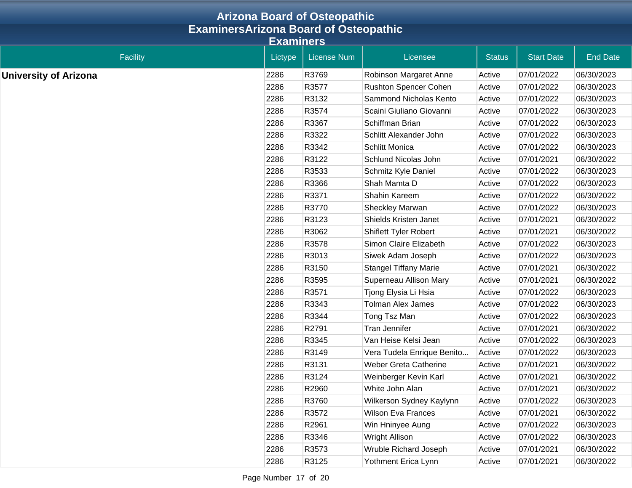|                              | <b>Arizona Board of Osteopathic</b>          |                    |                              |               |                   |                 |
|------------------------------|----------------------------------------------|--------------------|------------------------------|---------------|-------------------|-----------------|
|                              | <b>ExaminersArizona Board of Osteopathic</b> |                    |                              |               |                   |                 |
|                              | <b>Examiners</b>                             |                    |                              |               |                   |                 |
| Facility                     | Lictype                                      | <b>License Num</b> | Licensee                     | <b>Status</b> | <b>Start Date</b> | <b>End Date</b> |
| <b>University of Arizona</b> | 2286                                         | R3769              | Robinson Margaret Anne       | Active        | 07/01/2022        | 06/30/2023      |
|                              | 2286                                         | R3577              | Rushton Spencer Cohen        | Active        | 07/01/2022        | 06/30/2023      |
|                              | 2286                                         | R3132              | Sammond Nicholas Kento       | Active        | 07/01/2022        | 06/30/2023      |
|                              | 2286                                         | R3574              | Scaini Giuliano Giovanni     | Active        | 07/01/2022        | 06/30/2023      |
|                              | 2286                                         | R3367              | Schiffman Brian              | Active        | 07/01/2022        | 06/30/2023      |
|                              | 2286                                         | R3322              | Schlitt Alexander John       | Active        | 07/01/2022        | 06/30/2023      |
|                              | 2286                                         | R3342              | Schlitt Monica               | Active        | 07/01/2022        | 06/30/2023      |
|                              | 2286                                         | R3122              | Schlund Nicolas John         | Active        | 07/01/2021        | 06/30/2022      |
|                              | 2286                                         | R3533              | Schmitz Kyle Daniel          | Active        | 07/01/2022        | 06/30/2023      |
|                              | 2286                                         | R3366              | Shah Mamta D                 | Active        | 07/01/2022        | 06/30/2023      |
|                              | 2286                                         | R3371              | Shahin Kareem                | Active        | 07/01/2022        | 06/30/2022      |
|                              | 2286                                         | R3770              | <b>Sheckley Marwan</b>       | Active        | 07/01/2022        | 06/30/2023      |
|                              | 2286                                         | R3123              | Shields Kristen Janet        | Active        | 07/01/2021        | 06/30/2022      |
|                              | 2286                                         | R3062              | <b>Shiflett Tyler Robert</b> | Active        | 07/01/2021        | 06/30/2022      |
|                              | 2286                                         | R3578              | Simon Claire Elizabeth       | Active        | 07/01/2022        | 06/30/2023      |
|                              | 2286                                         | R3013              | Siwek Adam Joseph            | Active        | 07/01/2022        | 06/30/2023      |
|                              | 2286                                         | R3150              | <b>Stangel Tiffany Marie</b> | Active        | 07/01/2021        | 06/30/2022      |
|                              | 2286                                         | R3595              | Superneau Allison Mary       | Active        | 07/01/2021        | 06/30/2022      |
|                              | 2286                                         | R3571              | Tjong Elysia Li Hsia         | Active        | 07/01/2022        | 06/30/2023      |
|                              | 2286                                         | R3343              | <b>Tolman Alex James</b>     | Active        | 07/01/2022        | 06/30/2023      |
|                              | 2286                                         | R3344              | Tong Tsz Man                 | Active        | 07/01/2022        | 06/30/2023      |
|                              | 2286                                         | R2791              | <b>Tran Jennifer</b>         | Active        | 07/01/2021        | 06/30/2022      |
|                              | 2286                                         | R3345              | Van Heise Kelsi Jean         | Active        | 07/01/2022        | 06/30/2023      |
|                              | 2286                                         | R3149              | Vera Tudela Enrique Benito   | Active        | 07/01/2022        | 06/30/2023      |
|                              | 2286                                         | R3131              | Weber Greta Catherine        | Active        | 07/01/2021        | 06/30/2022      |
|                              | 2286                                         | R3124              | Weinberger Kevin Karl        | Active        | 07/01/2021        | 06/30/2022      |
|                              | 2286                                         | R2960              | White John Alan              | Active        | 07/01/2021        | 06/30/2022      |
|                              | 2286                                         | R3760              | Wilkerson Sydney Kaylynn     | Active        | 07/01/2022        | 06/30/2023      |
|                              | 2286                                         | R3572              | <b>Wilson Eva Frances</b>    | Active        | 07/01/2021        | 06/30/2022      |
|                              | 2286                                         | R2961              | Win Hninyee Aung             | Active        | 07/01/2022        | 06/30/2023      |
|                              | 2286                                         | R3346              | Wright Allison               | Active        | 07/01/2022        | 06/30/2023      |
|                              | 2286                                         | R3573              | Wruble Richard Joseph        | Active        | 07/01/2021        | 06/30/2022      |
|                              | 2286                                         | R3125              | Yothment Erica Lynn          | Active        | 07/01/2021        | 06/30/2022      |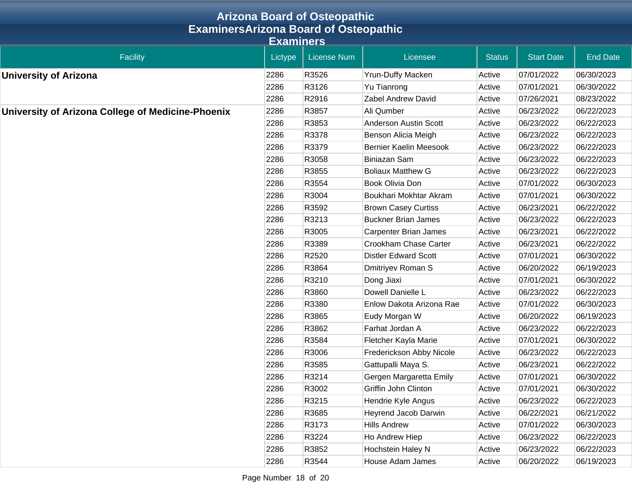|                                                   |                  | <b>Arizona Board of Osteopathic</b> |                               |               |                   |                 |
|---------------------------------------------------|------------------|-------------------------------------|-------------------------------|---------------|-------------------|-----------------|
| <b>ExaminersArizona Board of Osteopathic</b>      |                  |                                     |                               |               |                   |                 |
|                                                   | <b>Examiners</b> |                                     |                               |               |                   |                 |
| <b>Facility</b>                                   | Lictype          | <b>License Num</b>                  | Licensee                      | <b>Status</b> | <b>Start Date</b> | <b>End Date</b> |
| <b>University of Arizona</b>                      | 2286             | R3526                               | <b>Yrun-Duffy Macken</b>      | Active        | 07/01/2022        | 06/30/2023      |
|                                                   | 2286             | R3126                               | Yu Tianrong                   | Active        | 07/01/2021        | 06/30/2022      |
|                                                   | 2286             | R2916                               | Zabel Andrew David            | Active        | 07/26/2021        | 08/23/2022      |
| University of Arizona College of Medicine-Phoenix | 2286             | R3857                               | Ali Qumber                    | Active        | 06/23/2022        | 06/22/2023      |
|                                                   | 2286             | R3853                               | <b>Anderson Austin Scott</b>  | Active        | 06/23/2022        | 06/22/2023      |
|                                                   | 2286             | R3378                               | Benson Alicia Meigh           | Active        | 06/23/2022        | 06/22/2023      |
|                                                   | 2286             | R3379                               | <b>Bernier Kaelin Meesook</b> | Active        | 06/23/2022        | 06/22/2023      |
|                                                   | 2286             | R3058                               | <b>Biniazan Sam</b>           | Active        | 06/23/2022        | 06/22/2023      |
|                                                   | 2286             | R3855                               | <b>Boliaux Matthew G</b>      | Active        | 06/23/2022        | 06/22/2023      |
|                                                   | 2286             | R3554                               | Book Olivia Don               | Active        | 07/01/2022        | 06/30/2023      |
|                                                   | 2286             | R3004                               | Boukhari Mokhtar Akram        | Active        | 07/01/2021        | 06/30/2022      |
|                                                   | 2286             | R3592                               | <b>Brown Casey Curtiss</b>    | Active        | 06/23/2021        | 06/22/2022      |
|                                                   | 2286             | R3213                               | <b>Buckner Brian James</b>    | Active        | 06/23/2022        | 06/22/2023      |
|                                                   | 2286             | R3005                               | <b>Carpenter Brian James</b>  | Active        | 06/23/2021        | 06/22/2022      |
|                                                   | 2286             | R3389                               | Crookham Chase Carter         | Active        | 06/23/2021        | 06/22/2022      |
|                                                   | 2286             | R2520                               | <b>Distler Edward Scott</b>   | Active        | 07/01/2021        | 06/30/2022      |
|                                                   | 2286             | R3864                               | Dmitriyev Roman S             | Active        | 06/20/2022        | 06/19/2023      |
|                                                   | 2286             | R3210                               | Dong Jiaxi                    | Active        | 07/01/2021        | 06/30/2022      |
|                                                   | 2286             | R3860                               | Dowell Danielle L             | Active        | 06/23/2022        | 06/22/2023      |
|                                                   | 2286             | R3380                               | Enlow Dakota Arizona Rae      | Active        | 07/01/2022        | 06/30/2023      |
|                                                   | 2286             | R3865                               | Eudy Morgan W                 | Active        | 06/20/2022        | 06/19/2023      |
|                                                   | 2286             | R3862                               | Farhat Jordan A               | Active        | 06/23/2022        | 06/22/2023      |
|                                                   | 2286             | R3584                               | Fletcher Kayla Marie          | Active        | 07/01/2021        | 06/30/2022      |
|                                                   | 2286             | R3006                               | Frederickson Abby Nicole      | Active        | 06/23/2022        | 06/22/2023      |
|                                                   | 2286             | R3585                               | Gattupalli Maya S.            | Active        | 06/23/2021        | 06/22/2022      |
|                                                   | 2286             | R3214                               | Gergen Margaretta Emily       | Active        | 07/01/2021        | 06/30/2022      |
|                                                   | 2286             | R3002                               | Griffin John Clinton          | Active        | 07/01/2021        | 06/30/2022      |
|                                                   | 2286             | R3215                               | Hendrie Kyle Angus            | Active        | 06/23/2022        | 06/22/2023      |
|                                                   | 2286             | R3685                               | Heyrend Jacob Darwin          | Active        | 06/22/2021        | 06/21/2022      |
|                                                   | 2286             | R3173                               | <b>Hills Andrew</b>           | Active        | 07/01/2022        | 06/30/2023      |
|                                                   | 2286             | R3224                               | Ho Andrew Hiep                | Active        | 06/23/2022        | 06/22/2023      |
|                                                   | 2286             | R3852                               | Hochstein Haley N             | Active        | 06/23/2022        | 06/22/2023      |
|                                                   | 2286             | R3544                               | House Adam James              | Active        | 06/20/2022        | 06/19/2023      |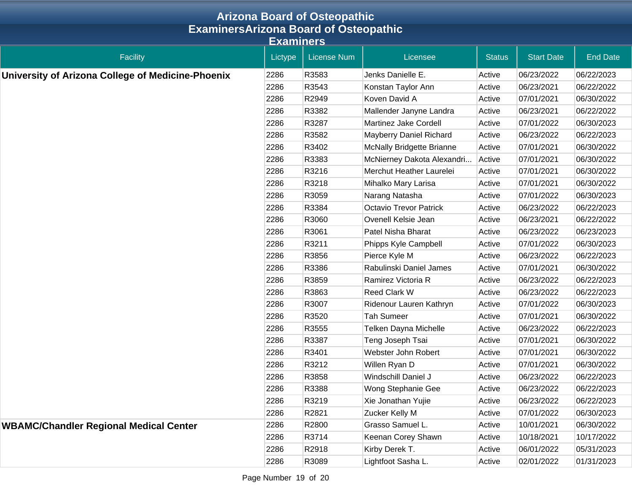|                                                   |                  | <b>Arizona Board of Osteopathic</b> |                               |               |                   |                 |
|---------------------------------------------------|------------------|-------------------------------------|-------------------------------|---------------|-------------------|-----------------|
| <b>ExaminersArizona Board of Osteopathic</b>      |                  |                                     |                               |               |                   |                 |
|                                                   | <b>Examiners</b> |                                     |                               |               |                   |                 |
| Facility                                          | Lictype          | <b>License Num</b>                  | Licensee                      | <b>Status</b> | <b>Start Date</b> | <b>End Date</b> |
| University of Arizona College of Medicine-Phoenix | 2286             | R3583                               | Jenks Danielle E.             | Active        | 06/23/2022        | 06/22/2023      |
|                                                   | 2286             | R3543                               | Konstan Taylor Ann            | Active        | 06/23/2021        | 06/22/2022      |
|                                                   | 2286             | R2949                               | Koven David A                 | Active        | 07/01/2021        | 06/30/2022      |
|                                                   | 2286             | R3382                               | Mallender Janyne Landra       | Active        | 06/23/2021        | 06/22/2022      |
|                                                   | 2286             | R3287                               | <b>Martinez Jake Cordell</b>  | Active        | 07/01/2022        | 06/30/2023      |
|                                                   | 2286             | R3582                               | Mayberry Daniel Richard       | Active        | 06/23/2022        | 06/22/2023      |
|                                                   | 2286             | R3402                               | McNally Bridgette Brianne     | Active        | 07/01/2021        | 06/30/2022      |
|                                                   | 2286             | R3383                               | McNierney Dakota Alexandri    | Active        | 07/01/2021        | 06/30/2022      |
|                                                   | 2286             | R3216                               | Merchut Heather Laurelei      | Active        | 07/01/2021        | 06/30/2022      |
|                                                   | 2286             | R3218                               | Mihalko Mary Larisa           | Active        | 07/01/2021        | 06/30/2022      |
|                                                   | 2286             | R3059                               | Narang Natasha                | Active        | 07/01/2022        | 06/30/2023      |
|                                                   | 2286             | R3384                               | <b>Octavio Trevor Patrick</b> | Active        | 06/23/2022        | 06/22/2023      |
|                                                   | 2286             | R3060                               | Ovenell Kelsie Jean           | Active        | 06/23/2021        | 06/22/2022      |
|                                                   | 2286             | R3061                               | Patel Nisha Bharat            | Active        | 06/23/2022        | 06/23/2023      |
|                                                   | 2286             | R3211                               | Phipps Kyle Campbell          | Active        | 07/01/2022        | 06/30/2023      |
|                                                   | 2286             | R3856                               | Pierce Kyle M                 | Active        | 06/23/2022        | 06/22/2023      |
|                                                   | 2286             | R3386                               | Rabulinski Daniel James       | Active        | 07/01/2021        | 06/30/2022      |
|                                                   | 2286             | R3859                               | Ramirez Victoria R            | Active        | 06/23/2022        | 06/22/2023      |
|                                                   | 2286             | R3863                               | Reed Clark W                  | Active        | 06/23/2022        | 06/22/2023      |
|                                                   | 2286             | R3007                               | Ridenour Lauren Kathryn       | Active        | 07/01/2022        | 06/30/2023      |
|                                                   | 2286             | R3520                               | <b>Tah Sumeer</b>             | Active        | 07/01/2021        | 06/30/2022      |
|                                                   | 2286             | R3555                               | Telken Dayna Michelle         | Active        | 06/23/2022        | 06/22/2023      |
|                                                   | 2286             | R3387                               | Teng Joseph Tsai              | Active        | 07/01/2021        | 06/30/2022      |
|                                                   | 2286             | R3401                               | Webster John Robert           | Active        | 07/01/2021        | 06/30/2022      |
|                                                   | 2286             | R3212                               | Willen Ryan D                 | Active        | 07/01/2021        | 06/30/2022      |
|                                                   | 2286             | R3858                               | Windschill Daniel J           | Active        | 06/23/2022        | 06/22/2023      |
|                                                   | 2286             | R3388                               | Wong Stephanie Gee            | Active        | 06/23/2022        | 06/22/2023      |
|                                                   | 2286             | R3219                               | Xie Jonathan Yujie            | Active        | 06/23/2022        | 06/22/2023      |
|                                                   | 2286             | R2821                               | Zucker Kelly M                | Active        | 07/01/2022        | 06/30/2023      |
| <b>WBAMC/Chandler Regional Medical Center</b>     | 2286             | R2800                               | Grasso Samuel L.              | Active        | 10/01/2021        | 06/30/2022      |
|                                                   | 2286             | R3714                               | Keenan Corey Shawn            | Active        | 10/18/2021        | 10/17/2022      |
|                                                   | 2286             | R2918                               | Kirby Derek T.                | Active        | 06/01/2022        | 05/31/2023      |
|                                                   | 2286             | R3089                               | Lightfoot Sasha L.            | Active        | 02/01/2022        | 01/31/2023      |